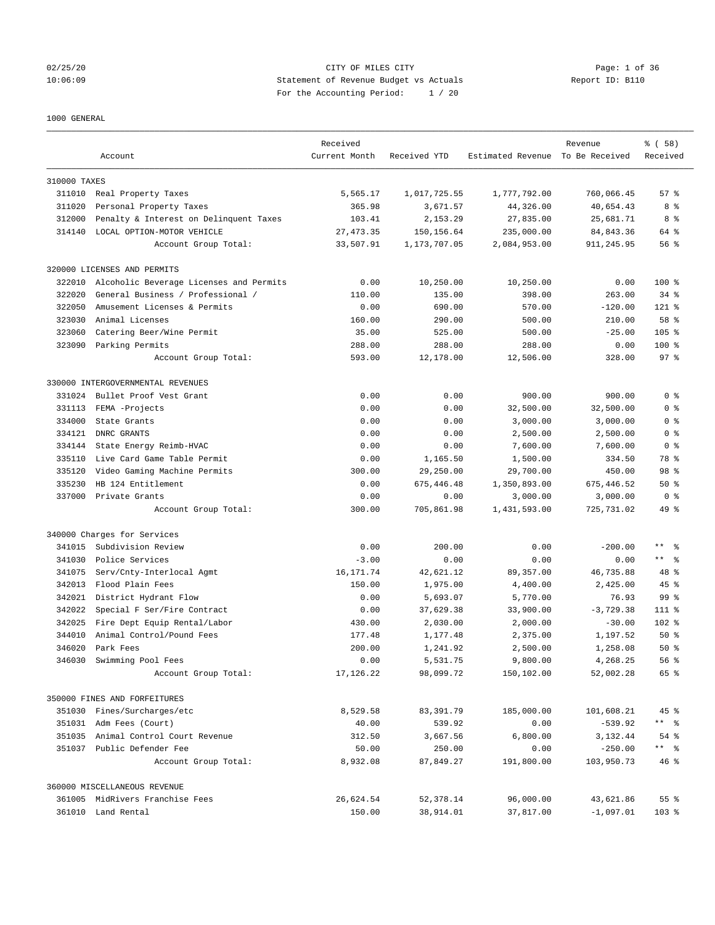## 02/25/20 CITY OF MILES CITY Page: 1 of 36 10:06:09 Statement of Revenue Budget vs Actuals Report ID: B110 For the Accounting Period: 1 / 20

#### 1000 GENERAL

|              | Account                                 | Received<br>Current Month | Received YTD | Estimated Revenue To Be Received | Revenue     | % (58)<br>Received |
|--------------|-----------------------------------------|---------------------------|--------------|----------------------------------|-------------|--------------------|
| 310000 TAXES |                                         |                           |              |                                  |             |                    |
|              | 311010 Real Property Taxes              | 5,565.17                  | 1,017,725.55 | 1,777,792.00                     | 760,066.45  | 57%                |
| 311020       | Personal Property Taxes                 | 365.98                    | 3,671.57     | 44,326.00                        | 40,654.43   | 8 %                |
| 312000       | Penalty & Interest on Delinquent Taxes  | 103.41                    | 2,153.29     | 27,835.00                        | 25,681.71   | 8 %                |
| 314140       | LOCAL OPTION-MOTOR VEHICLE              | 27, 473.35                | 150,156.64   | 235,000.00                       | 84, 843.36  | 64 %               |
|              | Account Group Total:                    | 33,507.91                 | 1,173,707.05 | 2,084,953.00                     | 911,245.95  | 56%                |
|              | 320000 LICENSES AND PERMITS             |                           |              |                                  |             |                    |
| 322010       | Alcoholic Beverage Licenses and Permits | 0.00                      | 10,250.00    | 10,250.00                        | 0.00        | $100$ %            |
| 322020       | General Business / Professional /       | 110.00                    | 135.00       | 398.00                           | 263.00      | $34$ $%$           |
| 322050       | Amusement Licenses & Permits            | 0.00                      | 690.00       | 570.00                           | $-120.00$   | $121$ %            |
| 323030       | Animal Licenses                         | 160.00                    | 290.00       | 500.00                           | 210.00      | 58 %               |
| 323060       | Catering Beer/Wine Permit               | 35.00                     | 525.00       | 500.00                           | $-25.00$    | $105$ %            |
| 323090       | Parking Permits                         | 288.00                    | 288.00       | 288.00                           | 0.00        | $100$ %            |
|              | Account Group Total:                    | 593.00                    | 12,178.00    | 12,506.00                        | 328.00      | 97 <sub>8</sub>    |
|              | 330000 INTERGOVERNMENTAL REVENUES       |                           |              |                                  |             |                    |
| 331024       | Bullet Proof Vest Grant                 | 0.00                      | 0.00         | 900.00                           | 900.00      | 0 <sup>8</sup>     |
| 331113       | FEMA -Projects                          | 0.00                      | 0.00         | 32,500.00                        | 32,500.00   | 0 <sup>8</sup>     |
| 334000       | State Grants                            | 0.00                      | 0.00         | 3,000.00                         | 3,000.00    | 0 <sup>8</sup>     |
| 334121       | DNRC GRANTS                             | 0.00                      | 0.00         | 2,500.00                         | 2,500.00    | 0 <sup>8</sup>     |
| 334144       | State Energy Reimb-HVAC                 | 0.00                      | 0.00         | 7,600.00                         | 7,600.00    | 0 <sup>8</sup>     |
| 335110       | Live Card Game Table Permit             | 0.00                      | 1,165.50     | 1,500.00                         | 334.50      | 78 %               |
| 335120       | Video Gaming Machine Permits            | 300.00                    | 29,250.00    | 29,700.00                        | 450.00      | 98 %               |
| 335230       | HB 124 Entitlement                      | 0.00                      | 675, 446.48  | 1,350,893.00                     | 675,446.52  | 50%                |
| 337000       | Private Grants                          | 0.00                      | 0.00         | 3,000.00                         | 3,000.00    | 0 <sup>8</sup>     |
|              | Account Group Total:                    | 300.00                    | 705,861.98   | 1,431,593.00                     | 725, 731.02 | $49*$              |
|              | 340000 Charges for Services             |                           |              |                                  |             |                    |
| 341015       | Subdivision Review                      | 0.00                      | 200.00       | 0.00                             | $-200.00$   | $\star\star$<br>ి  |
| 341030       | Police Services                         | $-3.00$                   | 0.00         | 0.00                             | 0.00        | $***$ $ -$         |
| 341075       | Serv/Cnty-Interlocal Agmt               | 16, 171.74                | 42,621.12    | 89,357.00                        | 46,735.88   | $48*$              |
| 342013       | Flood Plain Fees                        | 150.00                    | 1,975.00     | 4,400.00                         | 2,425.00    | $45$ %             |
| 342021       | District Hydrant Flow                   | 0.00                      | 5,693.07     | 5,770.00                         | 76.93       | 99 %               |
| 342022       | Special F Ser/Fire Contract             | 0.00                      | 37,629.38    | 33,900.00                        | $-3,729.38$ | $111*$             |
| 342025       | Fire Dept Equip Rental/Labor            | 430.00                    | 2,030.00     | 2,000.00                         | $-30.00$    | $102$ %            |
| 344010       | Animal Control/Pound Fees               | 177.48                    | 1,177.48     | 2,375.00                         | 1,197.52    | $50*$              |
| 346020       | Park Fees                               | 200.00                    | 1,241.92     | 2.500.00                         | 1,258.08    | $50*$              |
|              | 346030 Swimming Pool Fees               | 0.00                      | 5,531.75     | 9,800.00                         | 4,268.25    | 56 %               |
|              | Account Group Total:                    | 17, 126.22                | 98,099.72    | 150,102.00                       | 52,002.28   | 65 %               |
|              | 350000 FINES AND FORFEITURES            |                           |              |                                  |             |                    |
|              | 351030 Fines/Surcharges/etc             | 8,529.58                  | 83, 391.79   | 185,000.00                       | 101,608.21  | 45 %               |
|              | 351031 Adm Fees (Court)                 | 40.00                     | 539.92       | 0.00                             | $-539.92$   | ** %               |
|              | 351035 Animal Control Court Revenue     | 312.50                    | 3,667.56     | 6,800.00                         | 3,132.44    | 54 %               |
|              | 351037 Public Defender Fee              | 50.00                     | 250.00       | 0.00                             | $-250.00$   | ** %               |
|              | Account Group Total:                    | 8,932.08                  | 87,849.27    | 191,800.00                       | 103,950.73  | $46*$              |
|              | 360000 MISCELLANEOUS REVENUE            |                           |              |                                  |             |                    |
|              | 361005 MidRivers Franchise Fees         | 26,624.54                 | 52, 378.14   | 96,000.00                        | 43,621.86   | 55 %               |
|              | 361010 Land Rental                      | 150.00                    | 38,914.01    | 37,817.00                        | $-1,097.01$ | 103 %              |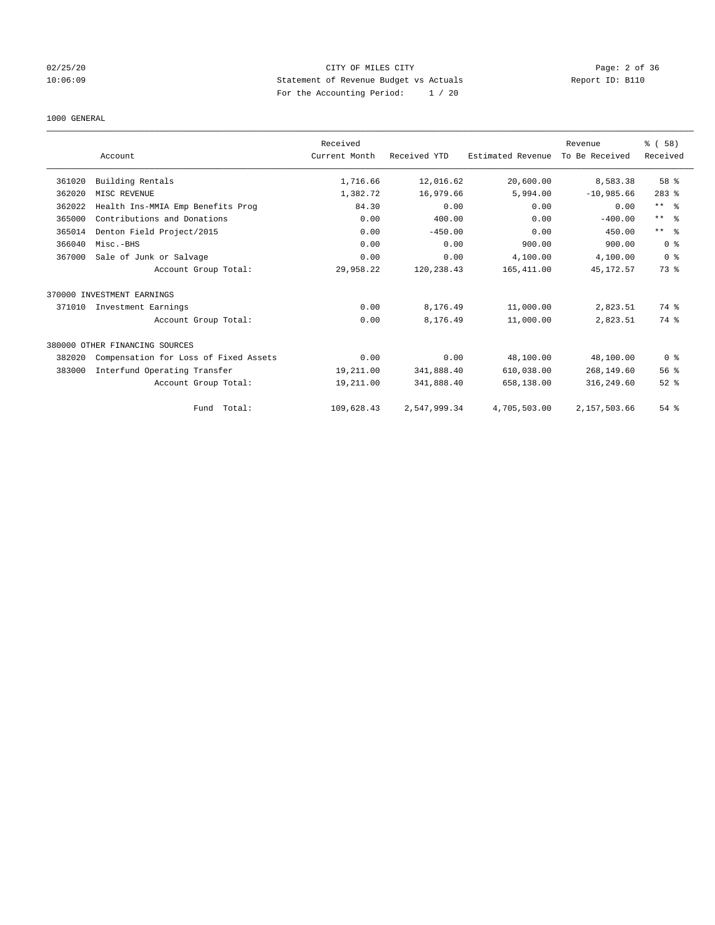## 02/25/20 CITY OF MILES CITY Page: 2 of 36 10:06:09 Statement of Revenue Budget vs Actuals Report ID: B110 For the Accounting Period: 1 / 20

#### 1000 GENERAL

|        |                                       | Received      |              |                   | Revenue        | % (58)          |
|--------|---------------------------------------|---------------|--------------|-------------------|----------------|-----------------|
|        | Account                               | Current Month | Received YTD | Estimated Revenue | To Be Received | Received        |
| 361020 | Building Rentals                      | 1,716.66      | 12,016.62    | 20,600.00         | 8,583.38       | 58 %            |
| 362020 | MISC REVENUE                          | 1,382.72      | 16,979.66    | 5,994.00          | $-10,985.66$   | $283$ $%$       |
| 362022 | Health Ins-MMIA Emp Benefits Prog     | 84.30         | 0.00         | 0.00              | 0.00           | $***$ $ -$      |
| 365000 | Contributions and Donations           | 0.00          | 400.00       | 0.00              | $-400.00$      | $***$ $\approx$ |
| 365014 | Denton Field Project/2015             | 0.00          | $-450.00$    | 0.00              | 450.00         | $***$ $ -$      |
| 366040 | Misc.-BHS                             | 0.00          | 0.00         | 900.00            | 900.00         | 0 <sup>8</sup>  |
| 367000 | Sale of Junk or Salvage               | 0.00          | 0.00         | 4,100.00          | 4,100.00       | 0 <sup>8</sup>  |
|        | Account Group Total:                  | 29,958.22     | 120, 238.43  | 165, 411.00       | 45, 172.57     | 73.8            |
|        | 370000 INVESTMENT EARNINGS            |               |              |                   |                |                 |
| 371010 | Investment Earnings                   | 0.00          | 8,176.49     | 11,000.00         | 2,823.51       | 74 %            |
|        | Account Group Total:                  | 0.00          | 8,176.49     | 11,000.00         | 2,823.51       | 74 %            |
|        | 380000 OTHER FINANCING SOURCES        |               |              |                   |                |                 |
| 382020 | Compensation for Loss of Fixed Assets | 0.00          | 0.00         | 48,100.00         | 48,100.00      | 0 <sup>8</sup>  |
| 383000 | Interfund Operating Transfer          | 19,211.00     | 341,888.40   | 610,038.00        | 268,149.60     | 56 <sup>8</sup> |
|        | Account Group Total:                  | 19,211.00     | 341,888.40   | 658,138.00        | 316,249.60     | $52$ $%$        |
|        | Fund Total:                           | 109,628.43    | 2,547,999.34 | 4,705,503.00      | 2,157,503.66   | 54 %            |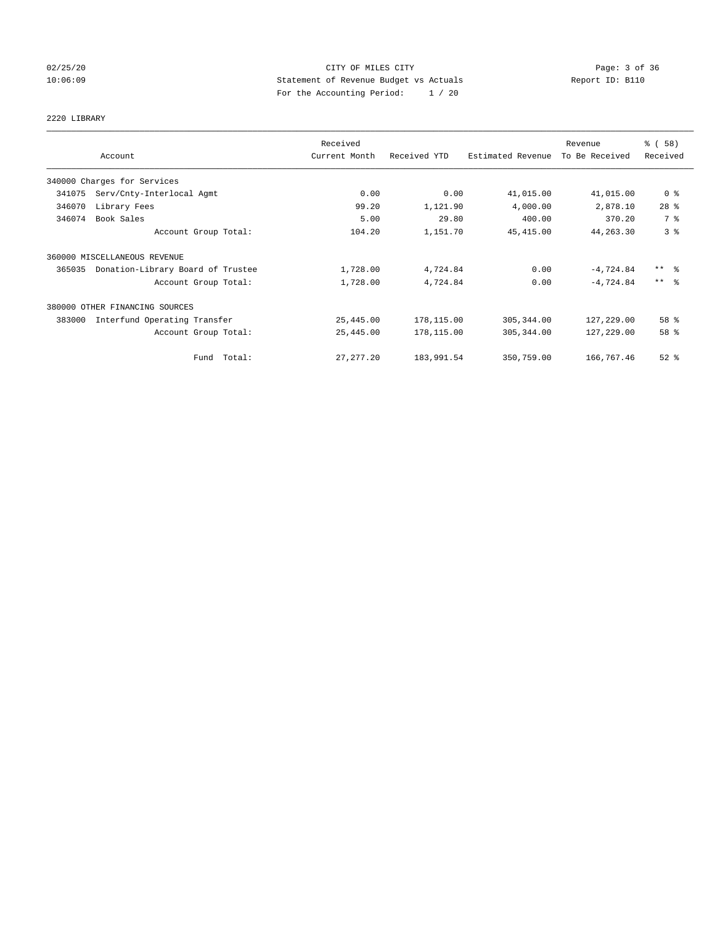## 02/25/20 **CITY OF MILES CITY CONSERVATION Page: 3 of 36** 10:06:09 Statement of Revenue Budget vs Actuals Report ID: B110 For the Accounting Period: 1 / 20

# 2220 LIBRARY

|        |                                   | Received      |              |                   | Revenue        | % (58)              |
|--------|-----------------------------------|---------------|--------------|-------------------|----------------|---------------------|
|        | Account                           | Current Month | Received YTD | Estimated Revenue | To Be Received | Received            |
|        | 340000 Charges for Services       |               |              |                   |                |                     |
| 341075 | Serv/Cnty-Interlocal Agmt         | 0.00          | 0.00         | 41,015.00         | 41,015.00      | 0 <sup>8</sup>      |
| 346070 | Library Fees                      | 99.20         | 1,121.90     | 4,000.00          | 2,878.10       | $28$ %              |
| 346074 | Book Sales                        | 5.00          | 29.80        | 400.00            | 370.20         | 7 %                 |
|        | Account Group Total:              | 104.20        | 1,151.70     | 45, 415.00        | 44, 263.30     | 3 <sup>°</sup>      |
|        | 360000 MISCELLANEOUS REVENUE      |               |              |                   |                |                     |
| 365035 | Donation-Library Board of Trustee | 1,728.00      | 4,724.84     | 0.00              | $-4,724.84$    | $***$ $\frac{6}{5}$ |
|        | Account Group Total:              | 1,728.00      | 4,724.84     | 0.00              | $-4.724.84$    | $***$ 2             |
|        | 380000 OTHER FINANCING SOURCES    |               |              |                   |                |                     |
| 383000 | Interfund Operating Transfer      | 25,445.00     | 178,115.00   | 305,344.00        | 127,229.00     | 58 %                |
|        | Account Group Total:              | 25,445.00     | 178,115.00   | 305, 344.00       | 127,229.00     | 58 %                |
|        | Fund Total:                       | 27, 277. 20   | 183,991.54   | 350,759.00        | 166,767.46     | $52$ $%$            |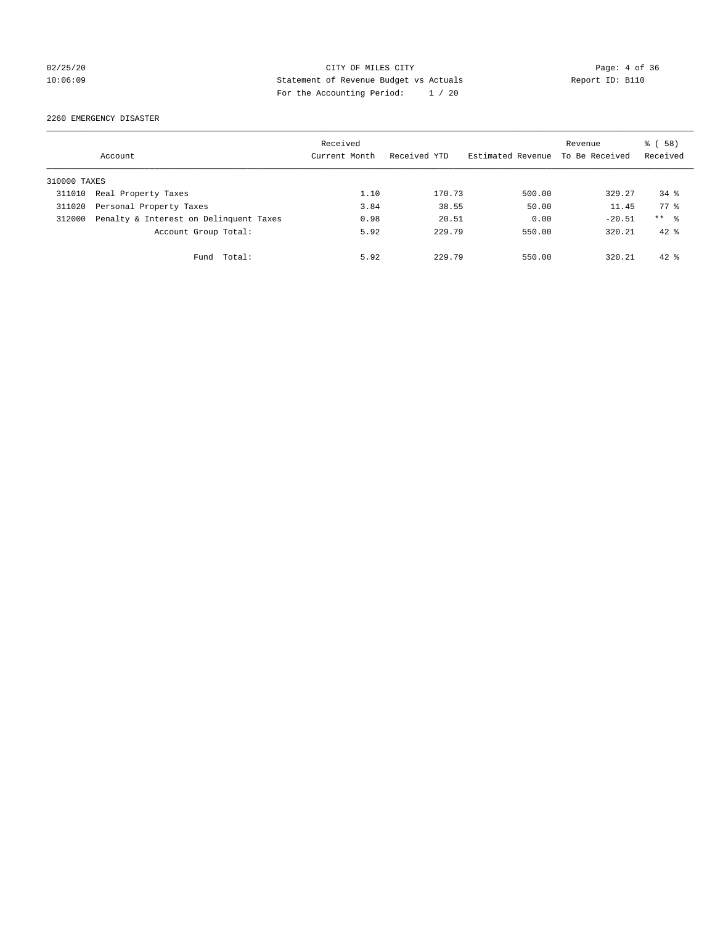## 02/25/20 CITY OF MILES CITY Page: 4 of 36 10:06:09 Statement of Revenue Budget vs Actuals Report ID: B110 For the Accounting Period: 1 / 20

2260 EMERGENCY DISASTER

|              | Account                                | Received<br>Current Month | Received YTD | Estimated Revenue | Revenue<br>To Be Received | % (58)<br>Received |
|--------------|----------------------------------------|---------------------------|--------------|-------------------|---------------------------|--------------------|
| 310000 TAXES |                                        |                           |              |                   |                           |                    |
| 311010       | Real Property Taxes                    | 1.10                      | 170.73       | 500.00            | 329.27                    | $34*$              |
| 311020       | Personal Property Taxes                | 3.84                      | 38.55        | 50.00             | 11.45                     | 77.8               |
| 312000       | Penalty & Interest on Delinquent Taxes | 0.98                      | 20.51        | 0.00              | $-20.51$                  | $***$ %            |
|              | Account Group Total:                   | 5.92                      | 229.79       | 550.00            | 320.21                    | $42*$              |
|              | Total:<br>Fund                         | 5.92                      | 229.79       | 550.00            | 320.21                    | $42*$              |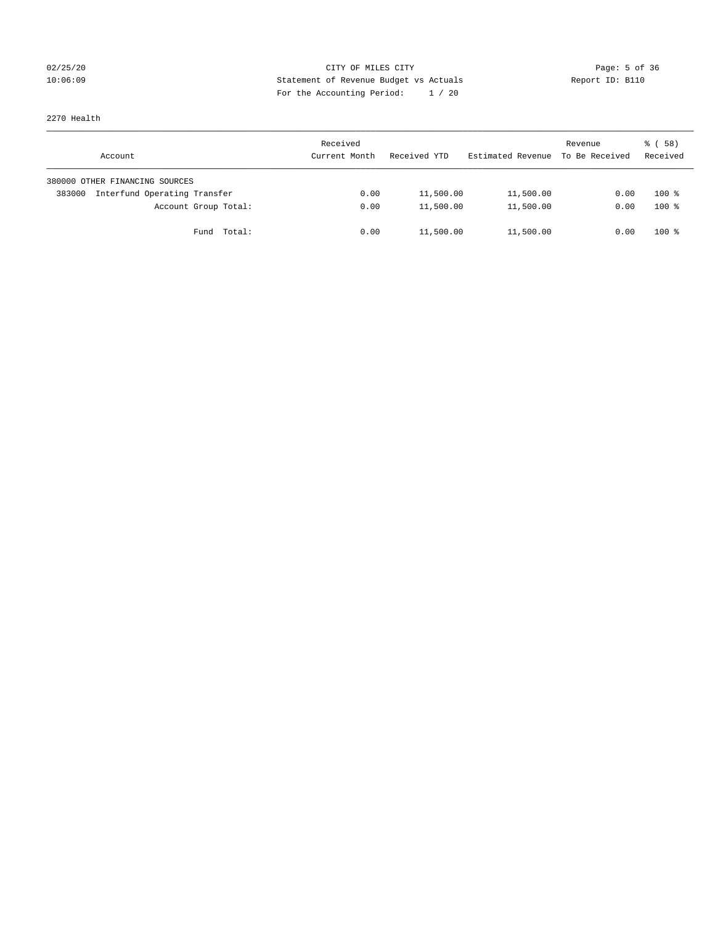## 02/25/20 CITY OF MILES CITY Page: 5 of 36 10:06:09 Statement of Revenue Budget vs Actuals Report ID: B110 For the Accounting Period: 1 / 20

2270 Health

| Account                                | Received<br>Current Month | Received YTD | Estimated Revenue | Revenue<br>To Be Received | 8 ( 58 )<br>Received |
|----------------------------------------|---------------------------|--------------|-------------------|---------------------------|----------------------|
| 380000 OTHER FINANCING SOURCES         |                           |              |                   |                           |                      |
| Interfund Operating Transfer<br>383000 | 0.00                      | 11,500.00    | 11,500.00         | 0.00                      | $100*$               |
| Account Group Total:                   | 0.00                      | 11,500.00    | 11,500.00         | 0.00                      | $100*$               |
| Total:<br>Fund                         | 0.00                      | 11,500.00    | 11,500.00         | 0.00                      | $100*$               |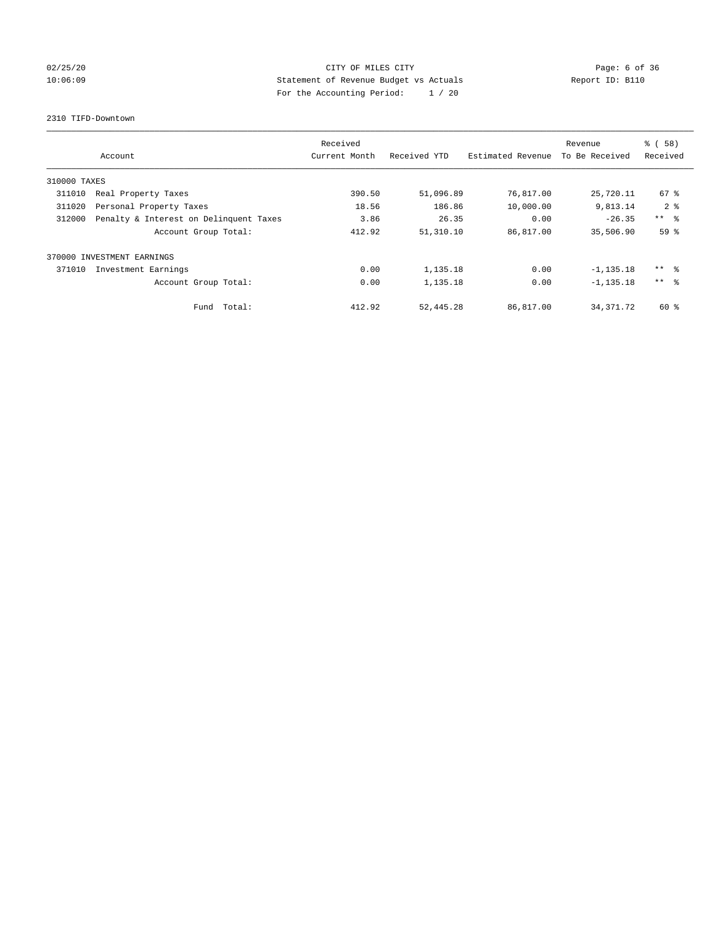## 02/25/20 **Page: 6 of 36** CITY OF MILES CITY CONTROL Page: 6 of 36 10:06:09 Statement of Revenue Budget vs Actuals Report ID: B110 For the Accounting Period: 1 / 20

#### 2310 TIFD-Downtown

|              | Account                                | Received<br>Current Month | Received YTD | Estimated Revenue | Revenue<br>To Be Received | % (58)<br>Received |
|--------------|----------------------------------------|---------------------------|--------------|-------------------|---------------------------|--------------------|
| 310000 TAXES |                                        |                           |              |                   |                           |                    |
| 311010       | Real Property Taxes                    | 390.50                    | 51,096.89    | 76,817.00         | 25,720.11                 | 67 <sup>8</sup>    |
| 311020       | Personal Property Taxes                | 18.56                     | 186.86       | 10,000.00         | 9,813.14                  | $2 \div$           |
| 312000       | Penalty & Interest on Delinquent Taxes | 3.86                      | 26.35        | 0.00              | $-26.35$                  | $***$ $ -$         |
|              | Account Group Total:                   | 412.92                    | 51,310.10    | 86,817.00         | 35,506.90                 | 59 <sup>8</sup>    |
| 370000       | INVESTMENT EARNINGS                    |                           |              |                   |                           |                    |
| 371010       | Investment Earnings                    | 0.00                      | 1,135.18     | 0.00              | $-1, 135.18$              | ** 왕               |
|              | Account Group Total:                   | 0.00                      | 1,135.18     | 0.00              | $-1, 135.18$              | $***$ $\approx$    |
|              | Fund Total:                            | 412.92                    | 52, 445.28   | 86,817.00         | 34, 371, 72               | 60 %               |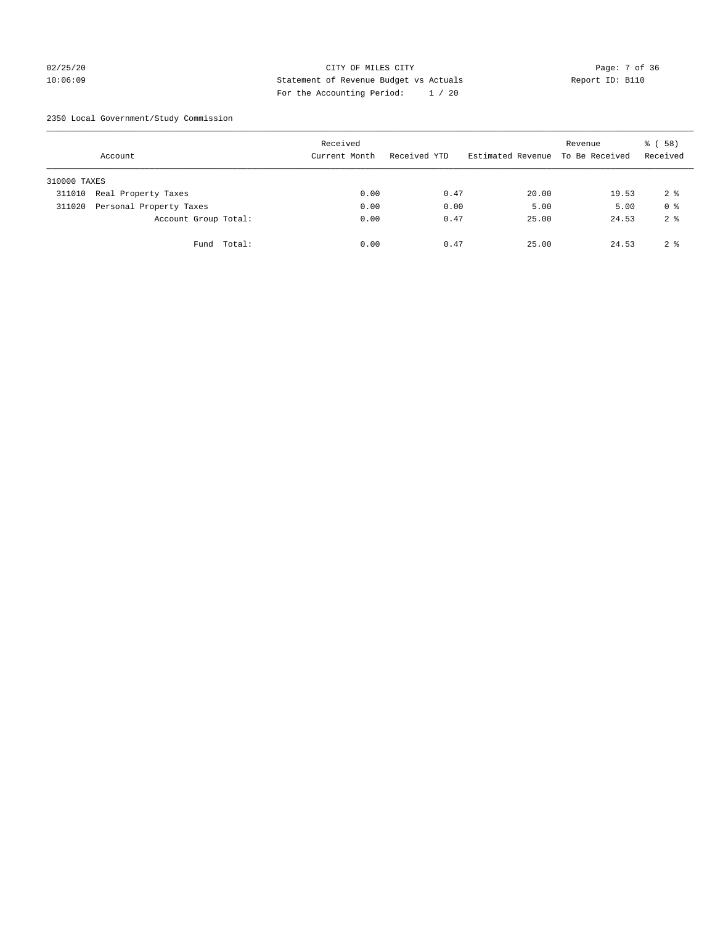## 02/25/20 Page: 7 of 36 10:06:09 Statement of Revenue Budget vs Actuals Report ID: B110 For the Accounting Period: 1 / 20

2350 Local Government/Study Commission

|              | Account                 |             | Received<br>Current Month |      | Received YTD |      | Estimated Revenue To Be Received | Revenue | % (58)<br>Received |
|--------------|-------------------------|-------------|---------------------------|------|--------------|------|----------------------------------|---------|--------------------|
| 310000 TAXES |                         |             |                           |      |              |      |                                  |         |                    |
| 311010       | Real Property Taxes     |             |                           | 0.00 |              | 0.47 | 20.00                            | 19.53   | 2 <sup>8</sup>     |
| 311020       | Personal Property Taxes |             |                           | 0.00 |              | 0.00 | 5.00                             | 5.00    | 0 <sup>8</sup>     |
|              | Account Group Total:    |             |                           | 0.00 |              | 0.47 | 25.00                            | 24.53   | 2 <sup>8</sup>     |
|              |                         | Fund Total: |                           | 0.00 |              | 0.47 | 25.00                            | 24.53   | 2 <sup>8</sup>     |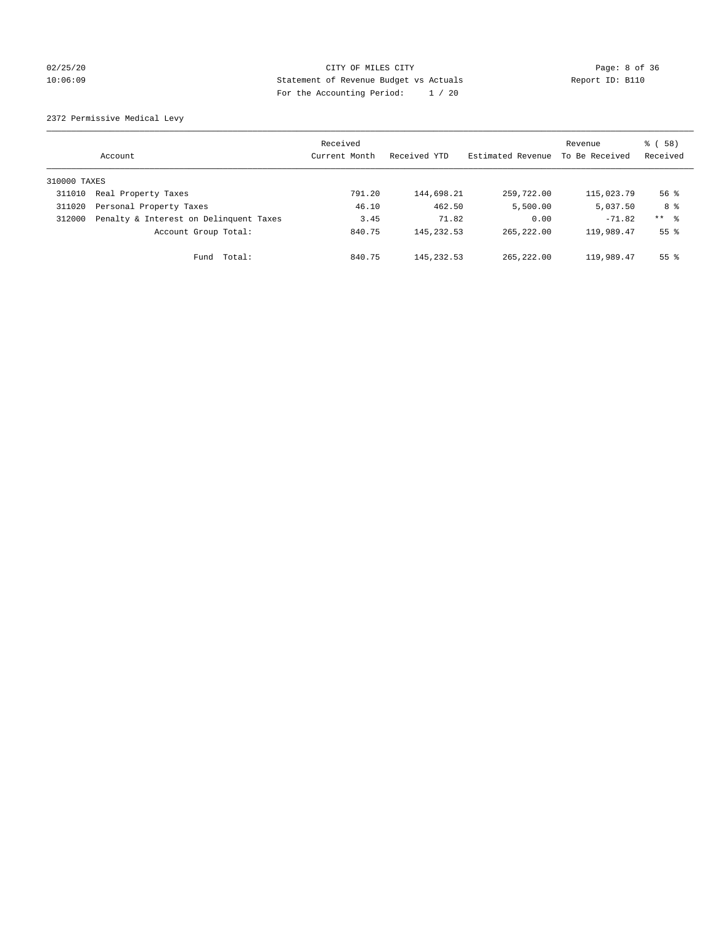## 02/25/20 CITY OF MILES CITY Page: 8 of 36 10:06:09 Statement of Revenue Budget vs Actuals Report ID: B110 For the Accounting Period: 1 / 20

2372 Permissive Medical Levy

|              | Account                                | Received<br>Current Month | Received YTD | Estimated Revenue | Revenue<br>To Be Received | 8 ( 58 )<br>Received |
|--------------|----------------------------------------|---------------------------|--------------|-------------------|---------------------------|----------------------|
| 310000 TAXES |                                        |                           |              |                   |                           |                      |
| 311010       | Real Property Taxes                    | 791.20                    | 144,698.21   | 259,722.00        | 115,023.79                | $56$ $\frac{6}{3}$   |
| 311020       | Personal Property Taxes                | 46.10                     | 462.50       | 5,500.00          | 5,037.50                  | 8 %                  |
| 312000       | Penalty & Interest on Delinquent Taxes | 3.45                      | 71.82        | 0.00              | $-71.82$                  | $***$ $\frac{6}{5}$  |
|              | Account Group Total:                   | 840.75                    | 145, 232.53  | 265, 222, 00      | 119,989.47                | 55 <sup>8</sup>      |
|              | Fund Total:                            | 840.75                    | 145, 232.53  | 265, 222, 00      | 119,989.47                | 55 <sup>8</sup>      |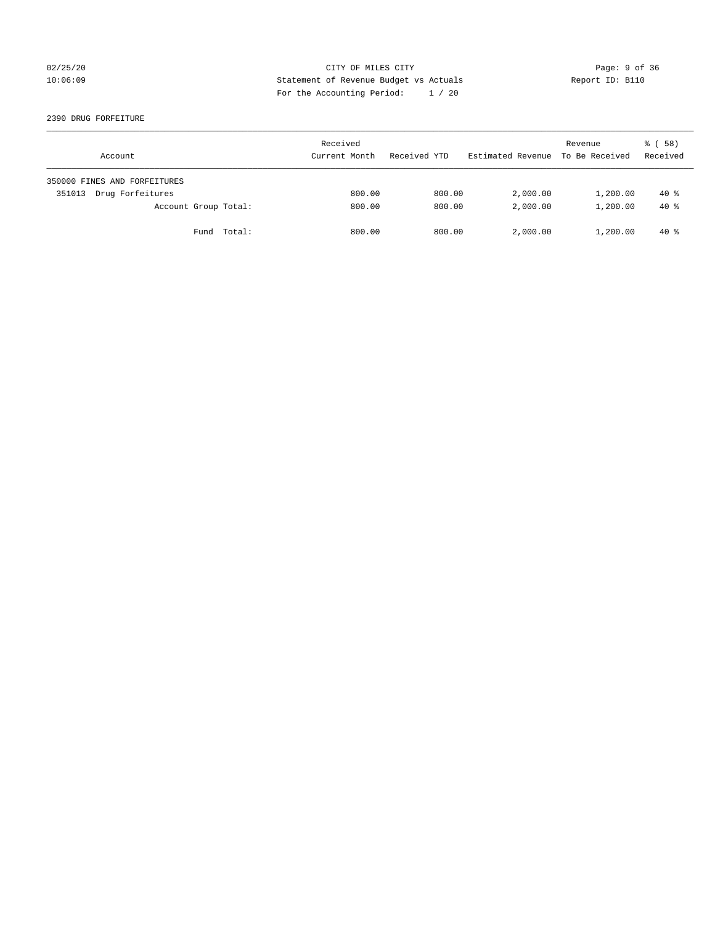## 02/25/20 CITY OF MILES CITY Page: 9 of 36 10:06:09 Statement of Revenue Budget vs Actuals Report ID: B110 For the Accounting Period: 1 / 20

#### 2390 DRUG FORFEITURE

| Account                      | Received<br>Current Month | Received YTD | Estimated Revenue | Revenue<br>To Be Received | 8 ( 58 )<br>Received |
|------------------------------|---------------------------|--------------|-------------------|---------------------------|----------------------|
| 350000 FINES AND FORFEITURES |                           |              |                   |                           |                      |
| Drug Forfeitures<br>351013   | 800.00                    | 800.00       | 2,000.00          | 1,200.00                  | $40*$                |
| Account Group Total:         | 800.00                    | 800.00       | 2,000.00          | 1,200.00                  | $40*$                |
| Total:<br>Fund               | 800.00                    | 800.00       | 2,000.00          | 1,200.00                  | 40 %                 |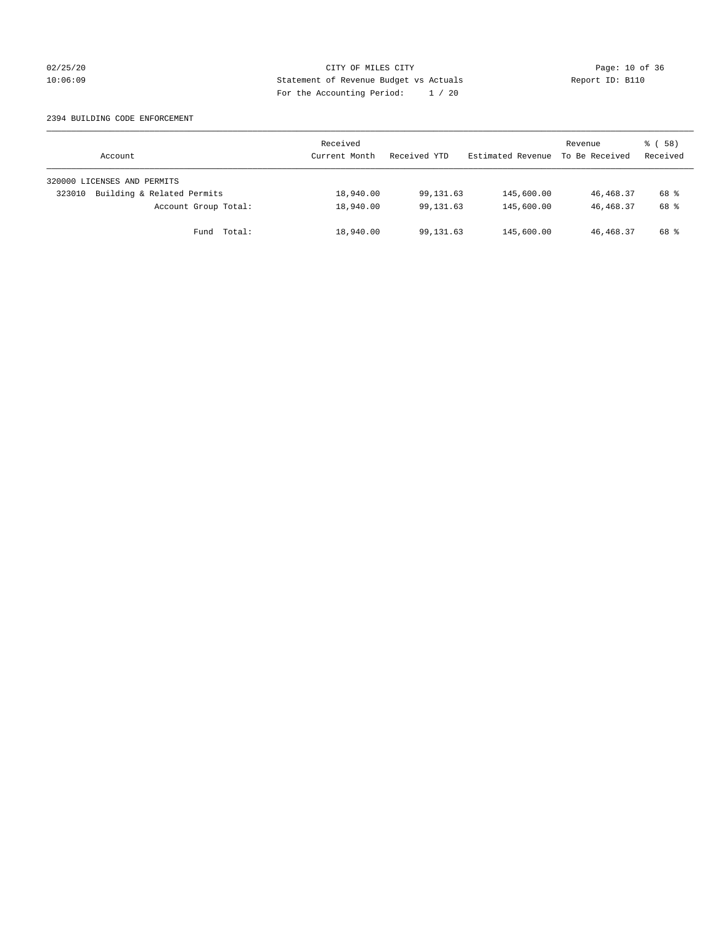## 02/25/20 Page: 10 of 36 CITY OF MILES CITY CHECK PAGE: 10 of 36 10:06:09 Statement of Revenue Budget vs Actuals Report ID: B110 For the Accounting Period: 1 / 20

#### 2394 BUILDING CODE ENFORCEMENT

| Account                              | Received<br>Current Month | Received YTD | Estimated Revenue | Revenue<br>To Be Received | ៖ (58)<br>Received |
|--------------------------------------|---------------------------|--------------|-------------------|---------------------------|--------------------|
| 320000 LICENSES AND PERMITS          |                           |              |                   |                           |                    |
| Building & Related Permits<br>323010 | 18,940.00                 | 99,131.63    | 145,600.00        | 46,468.37                 | 68 %               |
| Account Group Total:                 | 18,940.00                 | 99,131.63    | 145,600.00        | 46, 468. 37               | 68 %               |
| Fund Total:                          | 18,940.00                 | 99,131.63    | 145,600.00        | 46,468.37                 | 68 %               |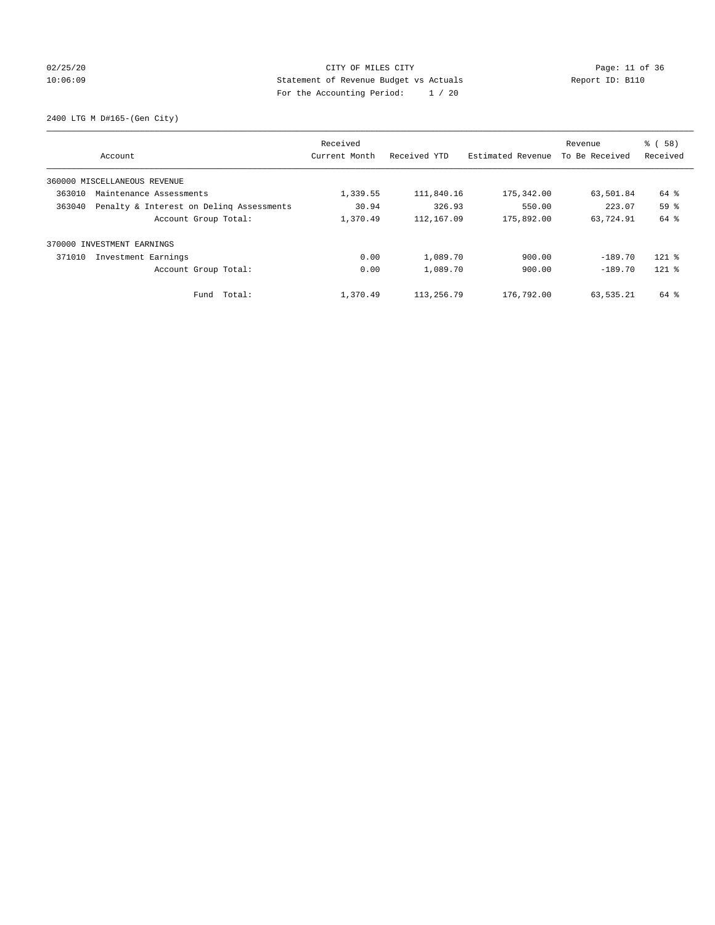## 02/25/20 Page: 11 of 36 CITY OF MILES CITY 10:06:09 Statement of Revenue Budget vs Actuals Report ID: B110 For the Accounting Period: 1 / 20

2400 LTG M D#165-(Gen City)

| Account                                            | Received<br>Current Month | Received YTD | Estimated Revenue | Revenue<br>To Be Received | % (58)<br>Received |
|----------------------------------------------------|---------------------------|--------------|-------------------|---------------------------|--------------------|
|                                                    |                           |              |                   |                           |                    |
| 360000 MISCELLANEOUS REVENUE                       |                           |              |                   |                           |                    |
| 363010<br>Maintenance Assessments                  | 1,339.55                  | 111,840.16   | 175,342.00        | 63,501.84                 | 64 %               |
| 363040<br>Penalty & Interest on Deling Assessments | 30.94                     | 326.93       | 550.00            | 223.07                    | 59 <sup>8</sup>    |
| Account Group Total:                               | 1,370.49                  | 112, 167.09  | 175,892.00        | 63,724.91                 | 64 %               |
| 370000 INVESTMENT EARNINGS                         |                           |              |                   |                           |                    |
| 371010<br>Investment Earnings                      | 0.00                      | 1,089.70     | 900.00            | $-189.70$                 | $121$ %            |
| Account Group Total:                               | 0.00                      | 1,089.70     | 900.00            | $-189.70$                 | $121$ %            |
| Total:<br>Fund                                     | 1,370.49                  | 113,256.79   | 176,792.00        | 63,535.21                 | 64 %               |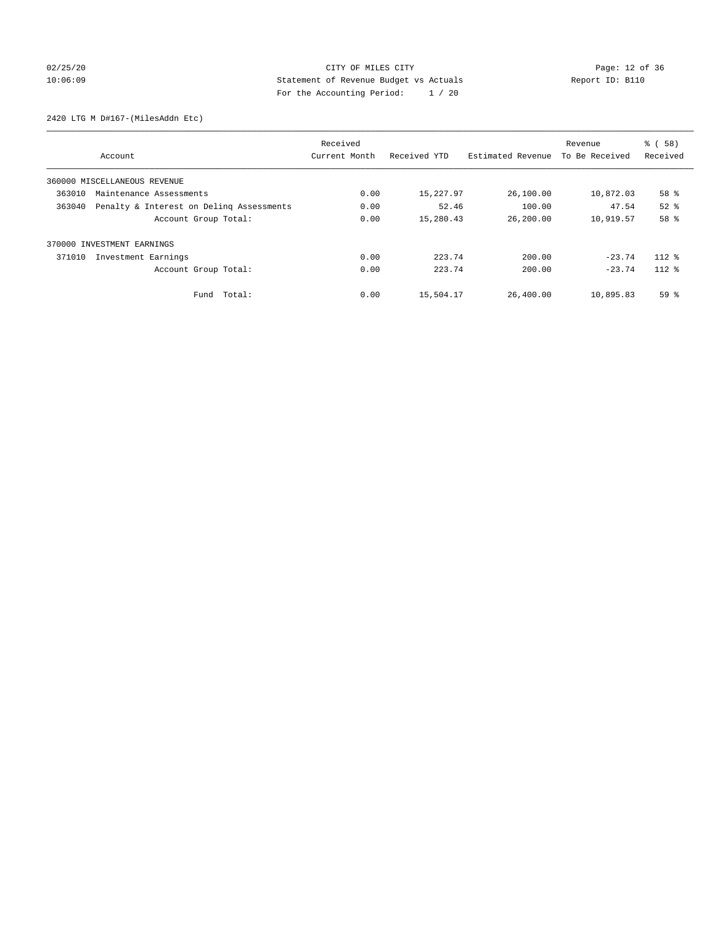## 02/25/20 Page: 12 of 36 CITY OF MILES CITY CHE PAGE: 12 of 36 10:06:09 Statement of Revenue Budget vs Actuals Report ID: B110 For the Accounting Period: 1 / 20

2420 LTG M D#167-(MilesAddn Etc)

|        |                                          | Received      |              |                   | Revenue        | % (58)   |
|--------|------------------------------------------|---------------|--------------|-------------------|----------------|----------|
|        | Account                                  | Current Month | Received YTD | Estimated Revenue | To Be Received | Received |
|        | 360000 MISCELLANEOUS REVENUE             |               |              |                   |                |          |
| 363010 | Maintenance Assessments                  | 0.00          | 15,227.97    | 26,100.00         | 10,872.03      | 58 %     |
| 363040 | Penalty & Interest on Deling Assessments | 0.00          | 52.46        | 100.00            | 47.54          | $52$ $%$ |
|        | Account Group Total:                     | 0.00          | 15,280.43    | 26,200.00         | 10,919.57      | 58 %     |
|        | 370000 INVESTMENT EARNINGS               |               |              |                   |                |          |
| 371010 | Investment Earnings                      | 0.00          | 223.74       | 200.00            | $-23.74$       | $112*$   |
|        | Account Group Total:                     | 0.00          | 223.74       | 200.00            | $-23.74$       | $112*$   |
|        | Fund Total:                              | 0.00          | 15,504.17    | 26,400.00         | 10,895.83      | 59 %     |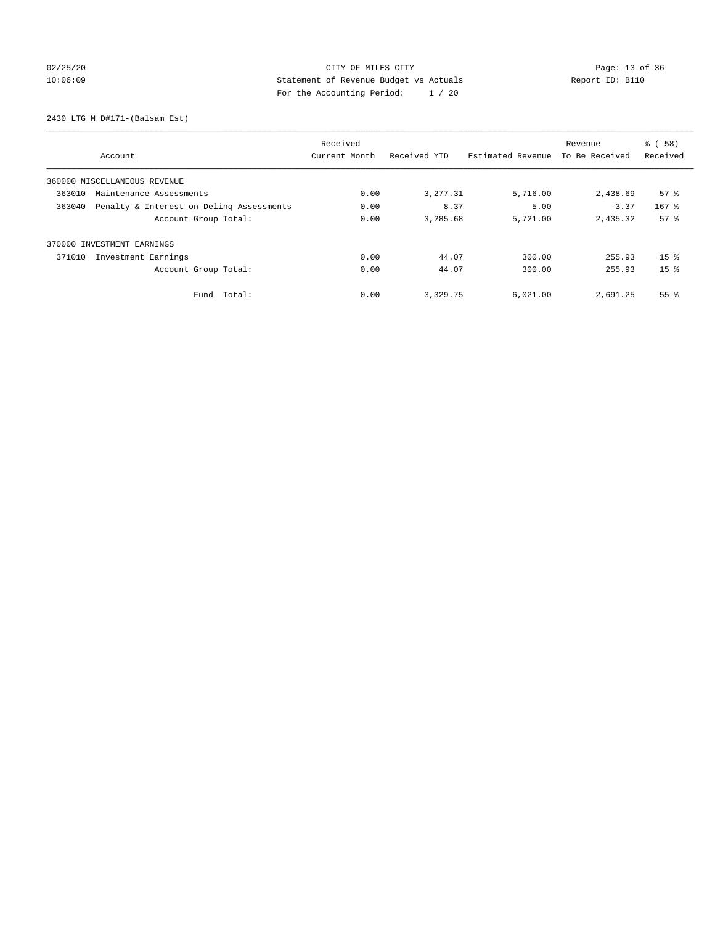## 02/25/20 Page: 13 of 36 CITY OF MILES CITY CONTROL PAGE: 13 of 36 10:06:09 Statement of Revenue Budget vs Actuals Report ID: B110 For the Accounting Period: 1 / 20

2430 LTG M D#171-(Balsam Est)

|                                                    | Received      |              |                   | Revenue        | % (58)          |
|----------------------------------------------------|---------------|--------------|-------------------|----------------|-----------------|
| Account                                            | Current Month | Received YTD | Estimated Revenue | To Be Received | Received        |
| 360000 MISCELLANEOUS REVENUE                       |               |              |                   |                |                 |
| 363010<br>Maintenance Assessments                  | 0.00          | 3,277.31     | 5,716.00          | 2,438.69       | $57*$           |
| 363040<br>Penalty & Interest on Deling Assessments | 0.00          | 8.37         | 5.00              | $-3.37$        | $167$ %         |
| Account Group Total:                               | 0.00          | 3,285.68     | 5,721.00          | 2,435.32       | 57 <sup>8</sup> |
| 370000 INVESTMENT EARNINGS                         |               |              |                   |                |                 |
| Investment Earnings<br>371010                      | 0.00          | 44.07        | 300.00            | 255.93         | 15 <sup>8</sup> |
| Account Group Total:                               | 0.00          | 44.07        | 300.00            | 255.93         | 15 <sup>8</sup> |
| Total:<br>Fund                                     | 0.00          | 3,329.75     | 6,021.00          | 2,691.25       | 55 <sup>8</sup> |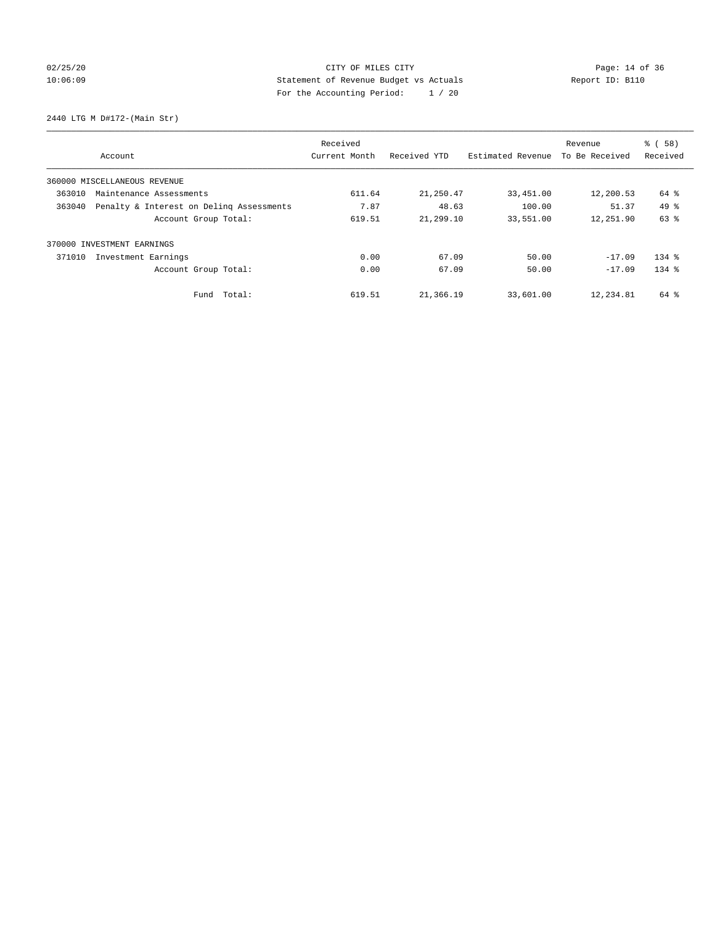## 02/25/20 Page: 14 of 36 CITY OF MILES CITY 10:06:09 Statement of Revenue Budget vs Actuals Report ID: B110 For the Accounting Period: 1 / 20

2440 LTG M D#172-(Main Str)

|                                                    | Received      |              |                   | Revenue        | % (58)    |
|----------------------------------------------------|---------------|--------------|-------------------|----------------|-----------|
| Account                                            | Current Month | Received YTD | Estimated Revenue | To Be Received | Received  |
| 360000 MISCELLANEOUS REVENUE                       |               |              |                   |                |           |
| 363010<br>Maintenance Assessments                  | 611.64        | 21,250.47    | 33,451.00         | 12,200.53      | 64 %      |
| Penalty & Interest on Deling Assessments<br>363040 | 7.87          | 48.63        | 100.00            | 51.37          | $49*$     |
| Account Group Total:                               | 619.51        | 21,299.10    | 33,551.00         | 12,251.90      | 63 %      |
| INVESTMENT EARNINGS<br>370000                      |               |              |                   |                |           |
| 371010<br>Investment Earnings                      | 0.00          | 67.09        | 50.00             | $-17.09$       | $134$ $%$ |
| Account Group Total:                               | 0.00          | 67.09        | 50.00             | $-17.09$       | $134$ $%$ |
| Fund Total:                                        | 619.51        | 21,366.19    | 33,601.00         | 12,234.81      | 64 %      |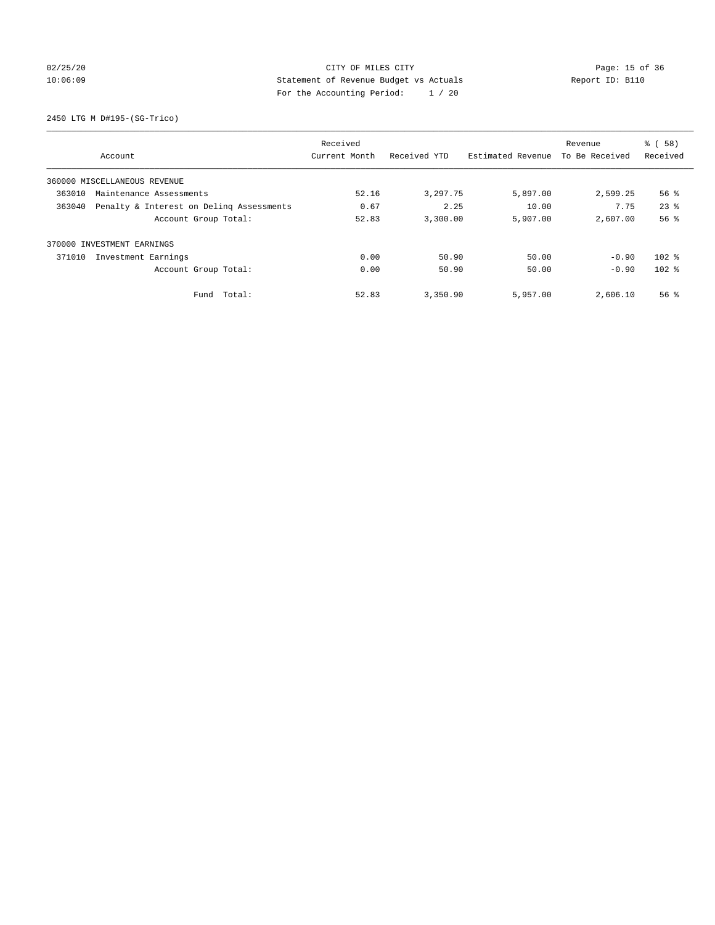## 02/25/20 Page: 15 of 36 CITY OF MILES CITY CONTROL PAGE: 15 of 36 10:06:09 Statement of Revenue Budget vs Actuals Report ID: B110 For the Accounting Period: 1 / 20

2450 LTG M D#195-(SG-Trico)

|                                                    |               |              | Revenue           | % (58)   |                    |
|----------------------------------------------------|---------------|--------------|-------------------|----------|--------------------|
| Account                                            | Current Month | Received YTD | Estimated Revenue |          | Received           |
| 360000 MISCELLANEOUS REVENUE                       |               |              |                   |          |                    |
| 363010<br>Maintenance Assessments                  | 52.16         | 3,297.75     | 5,897.00          | 2,599.25 | 56 %               |
| Penalty & Interest on Deling Assessments<br>363040 | 0.67          | 2.25         | 10.00             | 7.75     | $23$ $%$           |
| Account Group Total:                               | 52.83         | 3,300.00     | 5,907.00          | 2,607.00 | 56 <sup>8</sup>    |
| 370000 INVESTMENT EARNINGS                         |               |              |                   |          |                    |
| 371010<br>Investment Earnings                      | 0.00          | 50.90        | 50.00             | $-0.90$  | $102$ %            |
| Account Group Total:                               | 0.00          | 50.90        | 50.00             | $-0.90$  | $102$ %            |
| Total:<br>Fund                                     | 52.83         | 3,350.90     | 5,957.00          | 2,606.10 | $56$ $\frac{6}{3}$ |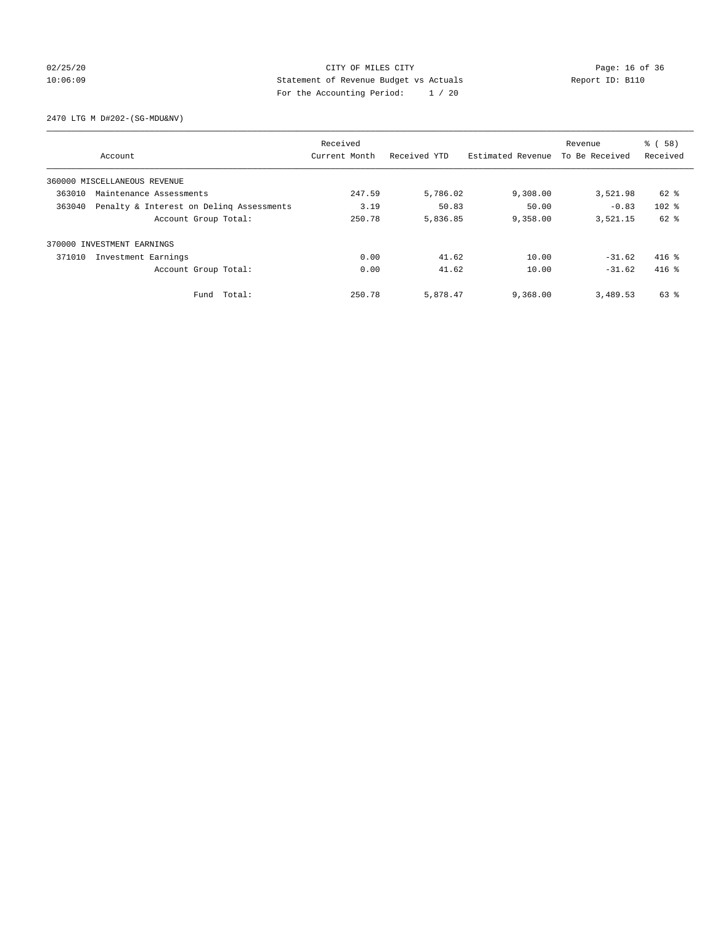## 02/25/20 Page: 16 of 36 CITY OF MILES CITY CHECK PAGE: 16 of 36 10:06:09 Statement of Revenue Budget vs Actuals Report ID: B110 For the Accounting Period: 1 / 20

2470 LTG M D#202-(SG-MDU&NV)

|        |                                          | Received      |              |                   | Revenue        | % (58)   |
|--------|------------------------------------------|---------------|--------------|-------------------|----------------|----------|
|        | Account                                  | Current Month | Received YTD | Estimated Revenue | To Be Received | Received |
|        | 360000 MISCELLANEOUS REVENUE             |               |              |                   |                |          |
| 363010 | Maintenance Assessments                  | 247.59        | 5,786.02     | 9,308.00          | 3,521.98       | 62 %     |
| 363040 | Penalty & Interest on Deling Assessments |               | 50.83        | 50.00             | $-0.83$        | $102$ %  |
|        | Account Group Total:                     | 250.78        | 5,836.85     | 9,358.00          | 3,521.15       | $62$ $%$ |
|        | 370000 INVESTMENT EARNINGS               |               |              |                   |                |          |
| 371010 | Investment Earnings                      | 0.00          | 41.62        | 10.00             | $-31.62$       | $416$ %  |
|        | Account Group Total:                     | 0.00          | 41.62        | 10.00             | $-31.62$       | $416$ %  |
|        | Fund Total:                              | 250.78        | 5,878.47     | 9,368.00          | 3,489.53       | 63 %     |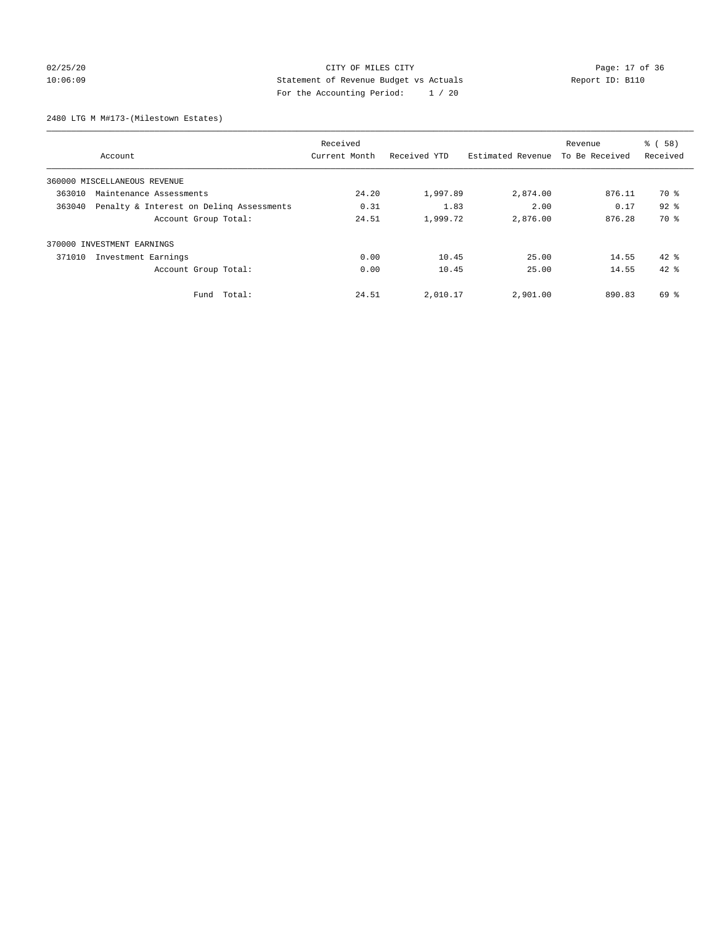## 02/25/20 Page: 17 of 36 CITY OF MILES CITY CONTROL PAGE: 17 OF 36 10:06:09 Statement of Revenue Budget vs Actuals Report ID: B110 For the Accounting Period: 1 / 20

2480 LTG M M#173-(Milestown Estates)

| Received                                           |               |              |                   |                | % (58)   |
|----------------------------------------------------|---------------|--------------|-------------------|----------------|----------|
| Account                                            | Current Month | Received YTD | Estimated Revenue | To Be Received | Received |
| 360000 MISCELLANEOUS REVENUE                       |               |              |                   |                |          |
| 363010<br>Maintenance Assessments                  | 24.20         | 1,997.89     | 2,874.00          | 876.11         | 70 %     |
| 363040<br>Penalty & Interest on Deling Assessments | 0.31          | 1.83         | 2.00              | 0.17           | $92$ $%$ |
| Account Group Total:                               | 24.51         | 1,999.72     | 2,876.00          | 876.28         | 70 %     |
| 370000 INVESTMENT EARNINGS                         |               |              |                   |                |          |
| 371010<br>Investment Earnings                      | 0.00          | 10.45        | 25.00             | 14.55          | $42*$    |
| Account Group Total:                               | 0.00          | 10.45        | 25.00             | 14.55          | $42*$    |
| Total:<br>Fund                                     | 24.51         | 2,010.17     | 2,901.00          | 890.83         | $69*$    |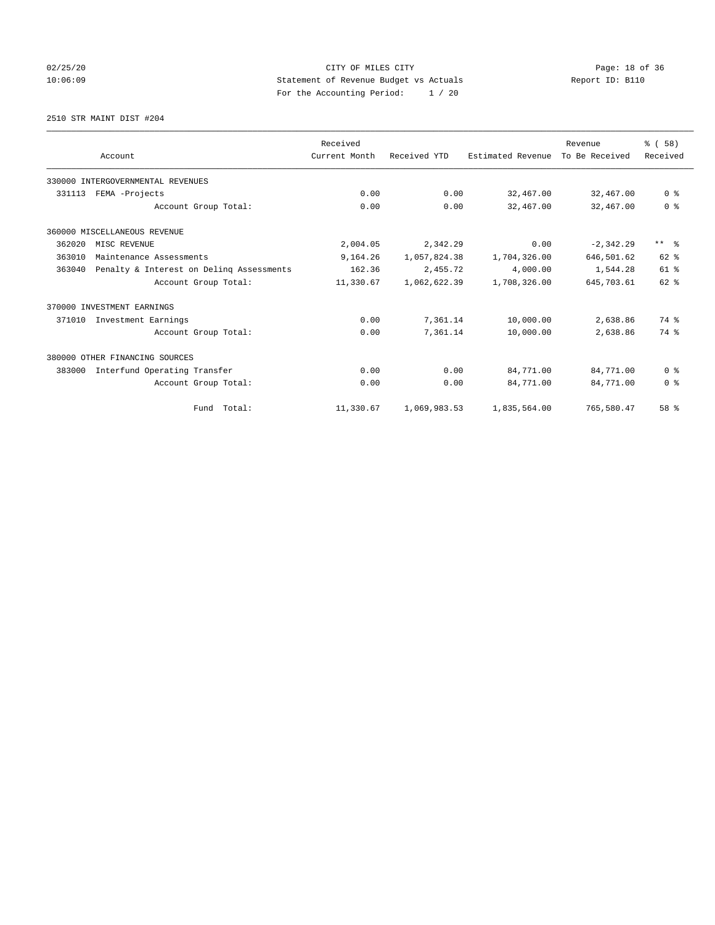## 02/25/20 Page: 18 of 36 CITY OF MILES CITY 10:06:09 Statement of Revenue Budget vs Actuals Report ID: B110 For the Accounting Period: 1 / 20

2510 STR MAINT DIST #204

|        |                                          | Received      |              |                   | Revenue        | % (58)                  |
|--------|------------------------------------------|---------------|--------------|-------------------|----------------|-------------------------|
|        | Account                                  | Current Month | Received YTD | Estimated Revenue | To Be Received | Received                |
|        | 330000 INTERGOVERNMENTAL REVENUES        |               |              |                   |                |                         |
| 331113 | FEMA -Projects                           | 0.00          | 0.00         | 32,467.00         | 32,467.00      | 0 <sup>8</sup>          |
|        | Account Group Total:                     | 0.00          | 0.00         | 32,467.00         | 32,467.00      | 0 <sup>8</sup>          |
|        | 360000 MISCELLANEOUS REVENUE             |               |              |                   |                |                         |
| 362020 | MISC REVENUE                             | 2,004.05      | 2,342.29     | 0.00              | $-2, 342.29$   | $***$ $=$ $\frac{6}{5}$ |
| 363010 | Maintenance Assessments                  | 9,164.26      | 1,057,824.38 | 1,704,326.00      | 646,501.62     | 62 %                    |
| 363040 | Penalty & Interest on Deling Assessments | 162.36        | 2,455.72     | 4,000.00          | 1,544.28       | 61 %                    |
|        | Account Group Total:                     | 11,330.67     | 1,062,622.39 | 1,708,326.00      | 645,703.61     | $62$ $%$                |
|        | 370000 INVESTMENT EARNINGS               |               |              |                   |                |                         |
| 371010 | Investment Earnings                      | 0.00          | 7,361.14     | 10,000.00         | 2,638.86       | 74 %                    |
|        | Account Group Total:                     | 0.00          | 7,361.14     | 10,000.00         | 2,638.86       | 74 %                    |
|        | 380000 OTHER FINANCING SOURCES           |               |              |                   |                |                         |
| 383000 | Interfund Operating Transfer             | 0.00          | 0.00         | 84,771.00         | 84,771.00      | 0 <sup>8</sup>          |
|        | Account Group Total:                     | 0.00          | 0.00         | 84,771.00         | 84,771.00      | 0 <sup>8</sup>          |
|        | Fund Total:                              | 11,330.67     | 1,069,983.53 | 1,835,564.00      | 765,580.47     | 58 <sup>8</sup>         |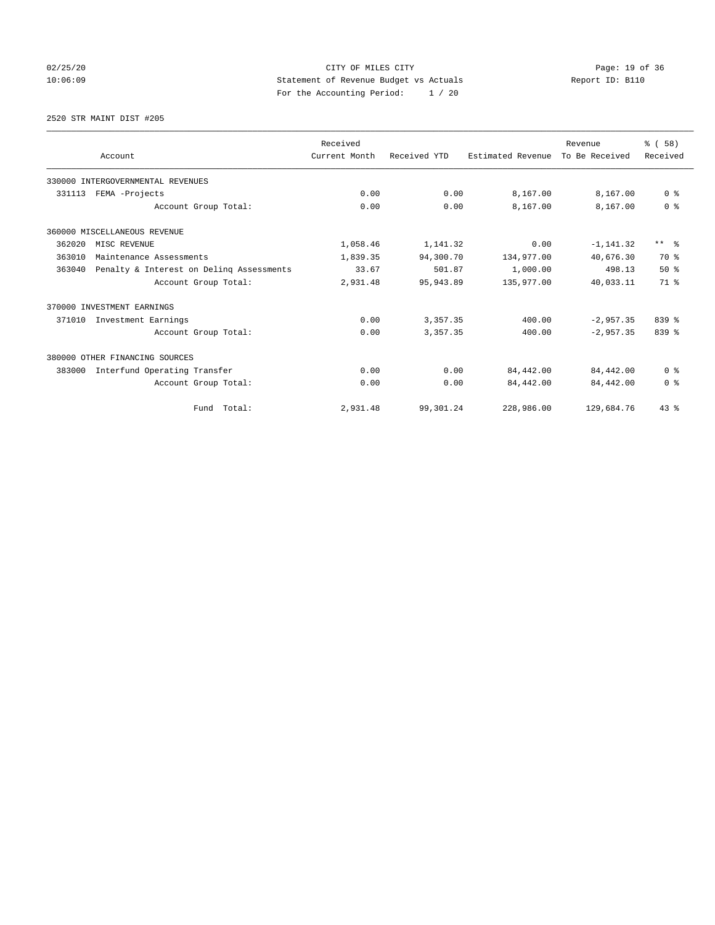## 02/25/20 Page: 19 of 36 CITY OF MILES CITY CHECK PAGE: 19 of 36 10:06:09 Statement of Revenue Budget vs Actuals Report ID: B110 For the Accounting Period: 1 / 20

2520 STR MAINT DIST #205

|        |                                          | Received      |              |                   | Revenue        | % (58)         |
|--------|------------------------------------------|---------------|--------------|-------------------|----------------|----------------|
|        | Account                                  | Current Month | Received YTD | Estimated Revenue | To Be Received | Received       |
|        | 330000 INTERGOVERNMENTAL REVENUES        |               |              |                   |                |                |
| 331113 | FEMA -Projects                           | 0.00          | 0.00         | 8,167.00          | 8,167.00       | 0 <sup>8</sup> |
|        | Account Group Total:                     | 0.00          | 0.00         | 8,167.00          | 8,167.00       | 0 <sup>8</sup> |
|        | 360000 MISCELLANEOUS REVENUE             |               |              |                   |                |                |
| 362020 | MISC REVENUE                             | 1,058.46      | 1,141.32     | 0.00              | $-1, 141.32$   | $***$ $=$      |
| 363010 | Maintenance Assessments                  | 1,839.35      | 94,300.70    | 134,977.00        | 40,676.30      | 70 %           |
| 363040 | Penalty & Interest on Deling Assessments | 33.67         | 501.87       | 1,000.00          | 498.13         | $50*$          |
|        | Account Group Total:                     | 2,931.48      | 95, 943.89   | 135,977.00        | 40,033.11      | 71.8           |
|        | 370000 INVESTMENT EARNINGS               |               |              |                   |                |                |
| 371010 | Investment Earnings                      | 0.00          | 3,357.35     | 400.00            | $-2,957.35$    | 839 %          |
|        | Account Group Total:                     | 0.00          | 3,357.35     | 400.00            | $-2,957.35$    | $839$ $%$      |
|        | 380000 OTHER FINANCING SOURCES           |               |              |                   |                |                |
| 383000 | Interfund Operating Transfer             | 0.00          | 0.00         | 84,442.00         | 84,442.00      | 0 <sup>8</sup> |
|        | Account Group Total:                     | 0.00          | 0.00         | 84,442.00         | 84,442.00      | 0 <sup>8</sup> |
|        | Fund Total:                              | 2,931.48      | 99,301.24    | 228,986.00        | 129,684.76     | 43.8           |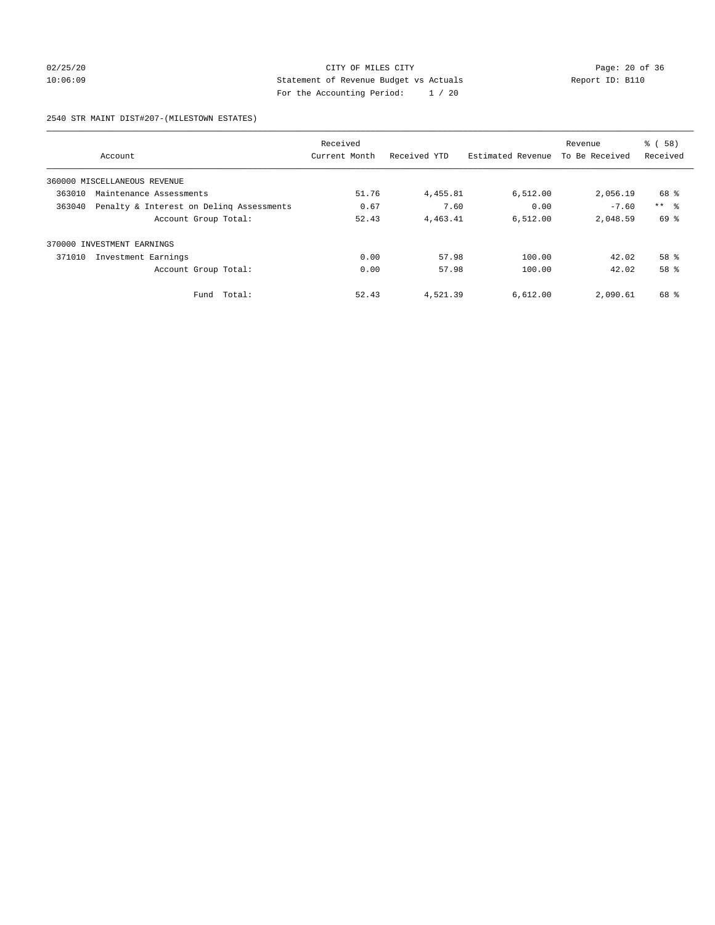## 02/25/20 Page: 20 of 36 CITY OF MILES CITY CONTROL PAGE: 20 of 36 10:06:09 Statement of Revenue Budget vs Actuals Report ID: B110 For the Accounting Period: 1 / 20

#### 2540 STR MAINT DIST#207-(MILESTOWN ESTATES)

|        |                                          | Received      |              |                   | Revenue        | % (58)          |
|--------|------------------------------------------|---------------|--------------|-------------------|----------------|-----------------|
|        | Account                                  | Current Month | Received YTD | Estimated Revenue | To Be Received | Received        |
|        | 360000 MISCELLANEOUS REVENUE             |               |              |                   |                |                 |
| 363010 | Maintenance Assessments                  | 51.76         | 4,455.81     | 6,512.00          | 2,056.19       | 68 %            |
| 363040 | Penalty & Interest on Deling Assessments | 0.67          | 7.60         | 0.00              | $-7.60$        | $***$ $\approx$ |
|        | Account Group Total:                     | 52.43         | 4,463.41     | 6.512.00          | 2,048.59       | 69 %            |
| 370000 | INVESTMENT EARNINGS                      |               |              |                   |                |                 |
| 371010 | Investment Earnings                      | 0.00          | 57.98        | 100.00            | 42.02          | $58*$           |
|        | Account Group Total:                     | 0.00          | 57.98        | 100.00            | 42.02          | 58 %            |
|        | Total:<br>Fund                           | 52.43         | 4,521.39     | 6,612.00          | 2,090.61       | 68 %            |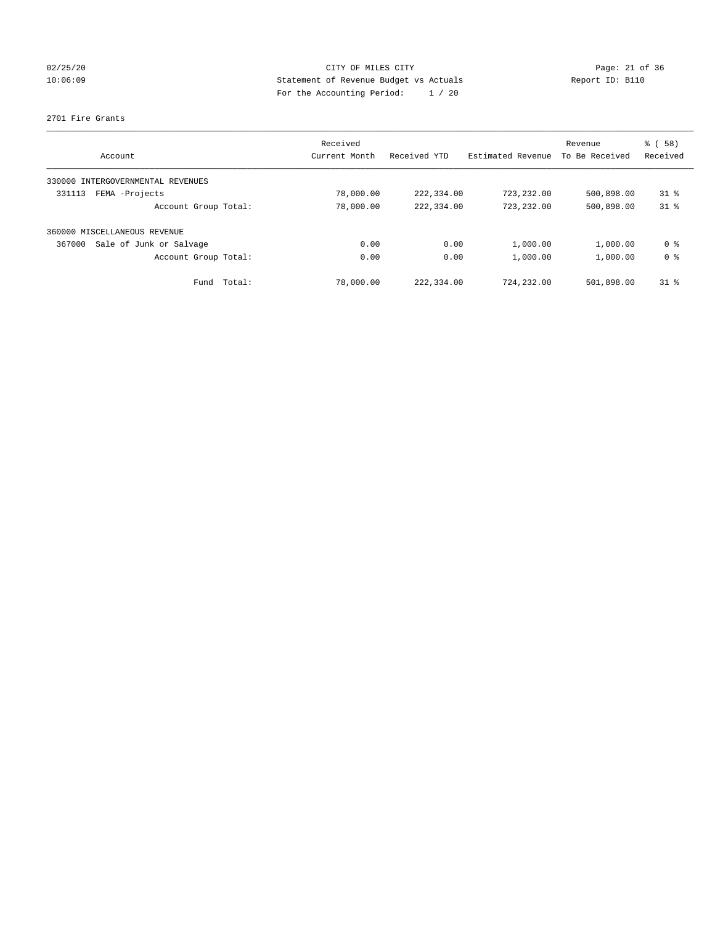## 02/25/20 Page: 21 of 36 CITY OF MILES CITY CHE CITY PAGE: 21 of 36 10:06:09 Statement of Revenue Budget vs Actuals Report ID: B110 For the Accounting Period: 1 / 20

#### 2701 Fire Grants

| Account                           | Received<br>Current Month | Received YTD | Estimated Revenue | Revenue<br>To Be Received | % (58)<br>Received |
|-----------------------------------|---------------------------|--------------|-------------------|---------------------------|--------------------|
| 330000 INTERGOVERNMENTAL REVENUES |                           |              |                   |                           |                    |
| FEMA -Projects<br>331113          | 78,000.00                 | 222,334.00   | 723, 232, 00      | 500,898.00                | $31*$              |
| Account Group Total:              | 78,000.00                 | 222,334.00   | 723,232.00        | 500,898.00                | $31*$              |
| 360000 MISCELLANEOUS REVENUE      |                           |              |                   |                           |                    |
| Sale of Junk or Salvage<br>367000 | 0.00                      | 0.00         | 1,000.00          | 1,000.00                  | 0 <sup>8</sup>     |
| Account Group Total:              | 0.00                      | 0.00         | 1,000.00          | 1,000.00                  | 0 <sup>8</sup>     |
| Fund Total:                       | 78,000.00                 | 222,334.00   | 724,232.00        | 501,898.00                | $31*$              |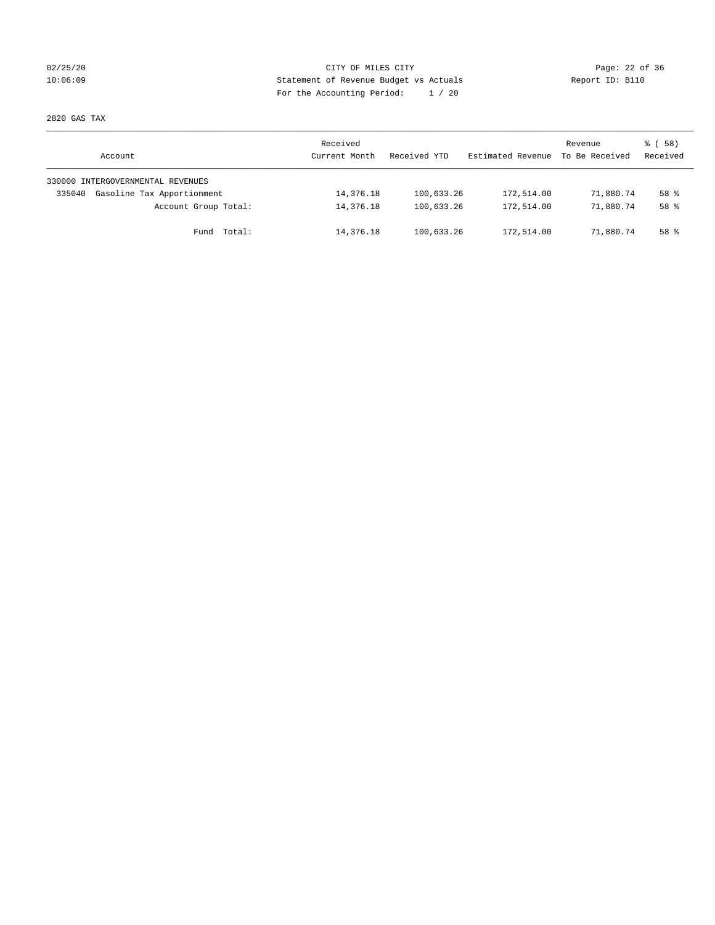## 02/25/20 Page: 22 of 36 CITY OF MILES CITY 10:06:09 Statement of Revenue Budget vs Actuals Report ID: B110 For the Accounting Period: 1 / 20

2820 GAS TAX

| Account                              | Received<br>Current Month | Received YTD | Estimated Revenue | Revenue<br>To Be Received | ៖ (58)<br>Received |
|--------------------------------------|---------------------------|--------------|-------------------|---------------------------|--------------------|
| 330000 INTERGOVERNMENTAL REVENUES    |                           |              |                   |                           |                    |
| Gasoline Tax Apportionment<br>335040 | 14,376.18                 | 100,633.26   | 172,514.00        | 71,880.74                 | $58*$              |
| Account Group Total:                 | 14,376.18                 | 100,633.26   | 172,514.00        | 71,880.74                 | $58*$              |
| Fund Total:                          | 14,376.18                 | 100,633.26   | 172,514.00        | 71,880.74                 | 58 %               |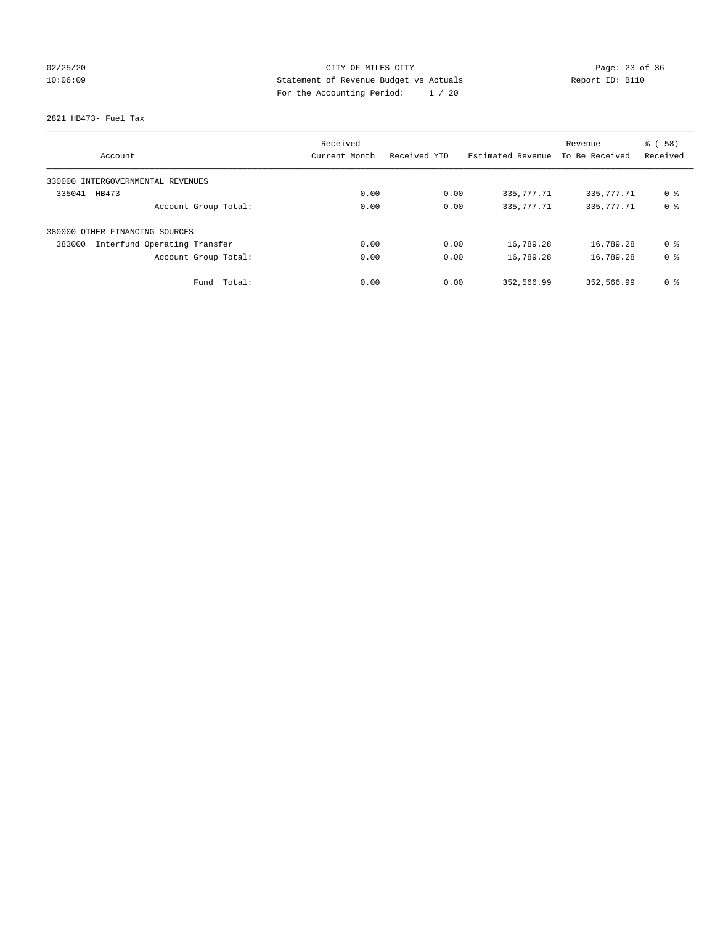## 02/25/20 Page: 23 of 36 CITY OF MILES CITY 10:06:09 Statement of Revenue Budget vs Actuals Report ID: B110 For the Accounting Period: 1 / 20

2821 HB473- Fuel Tax

|                                        | Received      |              |                   | Revenue        | % (58)         |
|----------------------------------------|---------------|--------------|-------------------|----------------|----------------|
| Account                                | Current Month | Received YTD | Estimated Revenue | To Be Received | Received       |
| 330000 INTERGOVERNMENTAL REVENUES      |               |              |                   |                |                |
| 335041<br>HB473                        | 0.00          | 0.00         | 335, 777. 71      | 335, 777. 71   | 0 %            |
| Account Group Total:                   | 0.00          | 0.00         | 335,777.71        | 335, 777. 71   | 0 <sup>8</sup> |
| 380000 OTHER FINANCING SOURCES         |               |              |                   |                |                |
| Interfund Operating Transfer<br>383000 | 0.00          | 0.00         | 16,789.28         | 16,789.28      | 0 ક            |
| Account Group Total:                   | 0.00          | 0.00         | 16,789.28         | 16,789.28      | 0 <sup>8</sup> |
| Total:<br>Fund                         | 0.00          | 0.00         | 352,566.99        | 352,566.99     | 0 %            |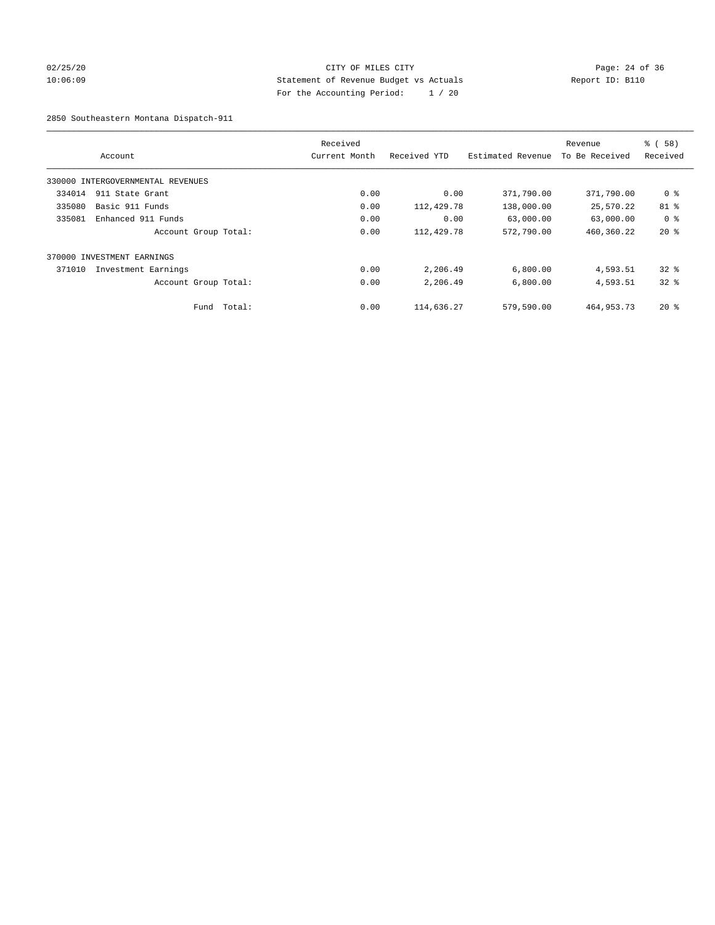## 02/25/20 Page: 24 of 36 CITY OF MILES CITY CONTROL PAGE: 24 of 36 10:06:09 Statement of Revenue Budget vs Actuals Report ID: B110 For the Accounting Period: 1 / 20

2850 Southeastern Montana Dispatch-911

|        | Account                           |        | Received<br>Current Month | Received YTD | Estimated Revenue | Revenue<br>To Be Received | % (58)<br>Received |
|--------|-----------------------------------|--------|---------------------------|--------------|-------------------|---------------------------|--------------------|
|        | 330000 INTERGOVERNMENTAL REVENUES |        |                           |              |                   |                           |                    |
| 334014 | 911 State Grant                   |        | 0.00                      | 0.00         | 371,790.00        | 371,790.00                | 0 %                |
| 335080 | Basic 911 Funds                   |        | 0.00                      | 112,429.78   | 138,000.00        | 25,570.22                 | 81 %               |
| 335081 | Enhanced 911 Funds                |        | 0.00                      | 0.00         | 63,000.00         | 63,000.00                 | 0 <sup>8</sup>     |
|        | Account Group Total:              |        | 0.00                      | 112,429.78   | 572,790.00        | 460,360.22                | $20*$              |
|        | 370000 INVESTMENT EARNINGS        |        |                           |              |                   |                           |                    |
| 371010 | Investment Earnings               |        | 0.00                      | 2,206.49     | 6,800.00          | 4,593.51                  | $32*$              |
|        | Account Group Total:              |        | 0.00                      | 2,206.49     | 6,800.00          | 4,593.51                  | $32*$              |
|        | Fund                              | Total: | 0.00                      | 114,636.27   | 579,590.00        | 464, 953. 73              | $20*$              |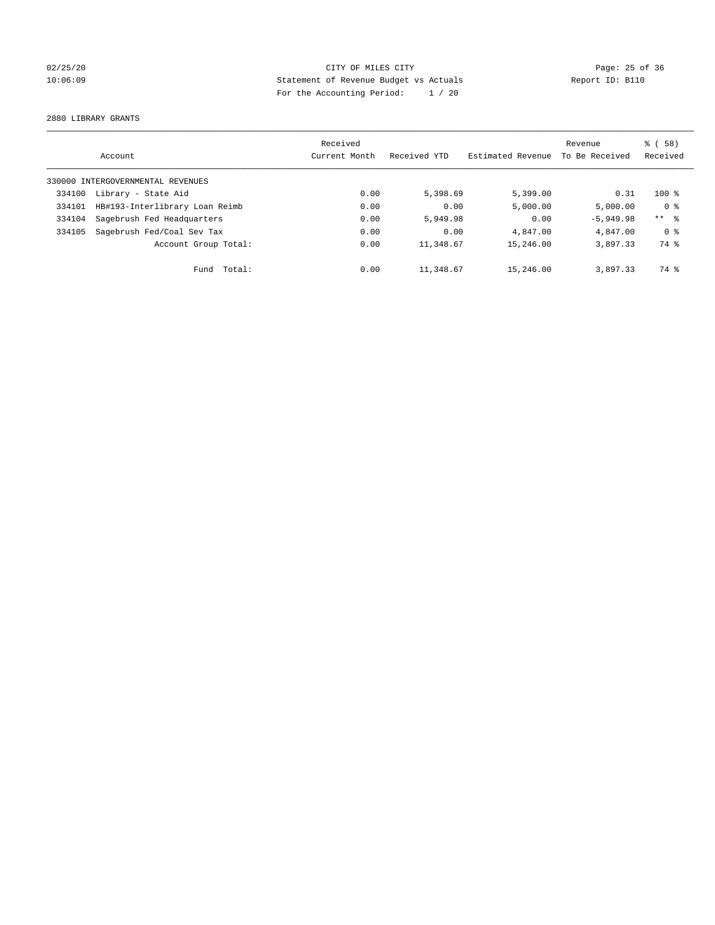## 02/25/20 Page: 25 of 36 CITY OF MILES CITY CONTROL PAGE: 25 of 36 10:06:09 Statement of Revenue Budget vs Actuals Report ID: B110 For the Accounting Period: 1 / 20

2880 LIBRARY GRANTS

|        |                                   | Received      |              |                   | Revenue        | 8 ( 58 )       |
|--------|-----------------------------------|---------------|--------------|-------------------|----------------|----------------|
|        | Account                           | Current Month | Received YTD | Estimated Revenue | To Be Received | Received       |
|        | 330000 INTERGOVERNMENTAL REVENUES |               |              |                   |                |                |
| 334100 | Library - State Aid               | 0.00          | 5,398.69     | 5,399.00          | 0.31           | $100*$         |
| 334101 | HB#193-Interlibrary Loan Reimb    | 0.00          | 0.00         | 5,000.00          | 5.000.00       | 0 <sup>8</sup> |
| 334104 | Sagebrush Fed Headquarters        | 0.00          | 5,949.98     | 0.00              | $-5,949.98$    | $***$ $ -$     |
| 334105 | Sagebrush Fed/Coal Sev Tax        | 0.00          | 0.00         | 4,847.00          | 4,847.00       | 0 <sup>8</sup> |
|        | Account Group Total:              | 0.00          | 11,348.67    | 15,246.00         | 3,897.33       | 74 %           |
|        | Fund Total:                       | 0.00          | 11,348.67    | 15,246.00         | 3,897.33       | 74 %           |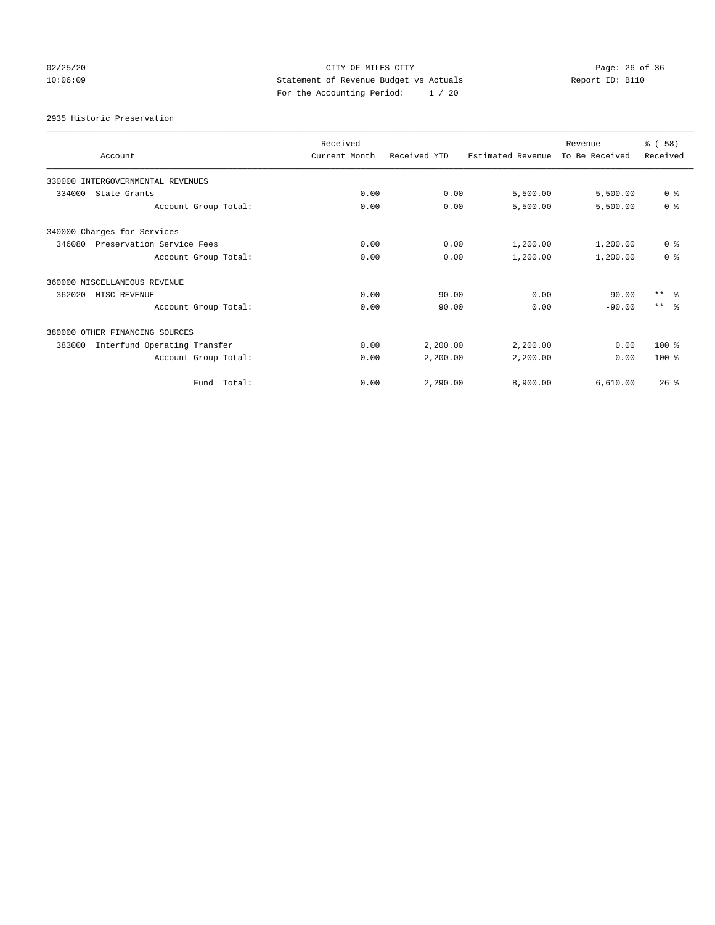## 02/25/20 Page: 26 of 36 CITY OF MILES CITY CONTROL PAGE: 26 of 36 10:06:09 Statement of Revenue Budget vs Actuals Report ID: B110 For the Accounting Period: 1 / 20

2935 Historic Preservation

| Account                                | Received<br>Current Month | Received YTD | Estimated Revenue | Revenue<br>To Be Received | % (58)<br>Received |
|----------------------------------------|---------------------------|--------------|-------------------|---------------------------|--------------------|
| 330000 INTERGOVERNMENTAL REVENUES      |                           |              |                   |                           |                    |
| 334000<br>State Grants                 | 0.00                      | 0.00         | 5,500.00          | 5,500.00                  | 0 <sup>8</sup>     |
| Account Group Total:                   | 0.00                      | 0.00         | 5,500.00          | 5,500.00                  | 0 <sup>8</sup>     |
| 340000 Charges for Services            |                           |              |                   |                           |                    |
| 346080<br>Preservation Service Fees    | 0.00                      | 0.00         | 1,200.00          | 1,200.00                  | 0 <sup>8</sup>     |
| Account Group Total:                   | 0.00                      | 0.00         | 1,200.00          | 1,200.00                  | 0 <sup>8</sup>     |
| 360000 MISCELLANEOUS REVENUE           |                           |              |                   |                           |                    |
| 362020<br>MISC REVENUE                 | 0.00                      | 90.00        | 0.00              | $-90.00$                  | $***$ $ -$         |
| Account Group Total:                   | 0.00                      | 90.00        | 0.00              | $-90.00$                  | $***$ $\approx$    |
| 380000 OTHER FINANCING SOURCES         |                           |              |                   |                           |                    |
| Interfund Operating Transfer<br>383000 | 0.00                      | 2,200.00     | 2,200.00          | 0.00                      | 100 %              |
| Account Group Total:                   | 0.00                      | 2,200.00     | 2,200.00          | 0.00                      | $100*$             |
| Fund Total:                            | 0.00                      | 2.290.00     | 8,900.00          | 6.610.00                  | 26%                |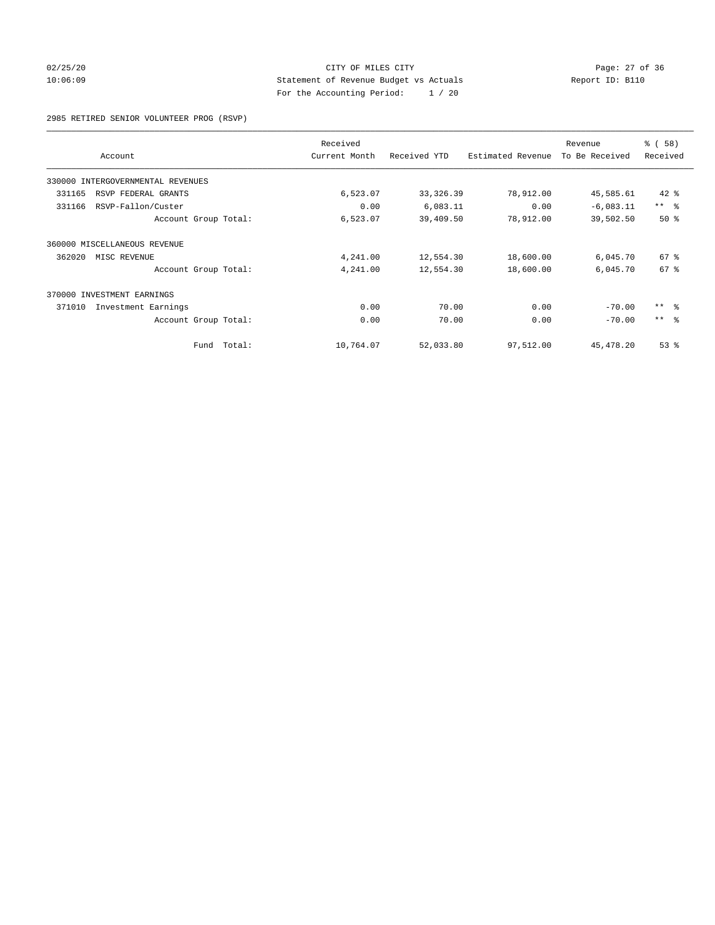## 02/25/20 Page: 27 of 36 CITY OF MILES CITY CHECK PAGE: 27 of 36 10:06:09 Statement of Revenue Budget vs Actuals Report ID: B110 For the Accounting Period: 1 / 20

2985 RETIRED SENIOR VOLUNTEER PROG (RSVP)

| Account                           | Received<br>Current Month | Received YTD | Estimated Revenue | Revenue<br>To Be Received | % (58)<br>Received |
|-----------------------------------|---------------------------|--------------|-------------------|---------------------------|--------------------|
|                                   |                           |              |                   |                           |                    |
| 330000 INTERGOVERNMENTAL REVENUES |                           |              |                   |                           |                    |
| 331165<br>RSVP FEDERAL GRANTS     | 6,523.07                  | 33, 326.39   | 78,912.00         | 45,585.61                 | $42$ %             |
| 331166<br>RSVP-Fallon/Custer      | 0.00                      | 6,083.11     | 0.00              | $-6,083.11$               | $***$ $-$          |
| Account Group Total:              | 6,523.07                  | 39,409.50    | 78,912.00         | 39,502.50                 | 50%                |
| 360000 MISCELLANEOUS REVENUE      |                           |              |                   |                           |                    |
| 362020<br>MISC REVENUE            | 4,241.00                  | 12,554.30    | 18,600.00         | 6,045.70                  | $67*$              |
| Account Group Total:              | 4,241.00                  | 12,554.30    | 18,600.00         | 6,045.70                  | 67 <sup>8</sup>    |
| 370000 INVESTMENT EARNINGS        |                           |              |                   |                           |                    |
| 371010<br>Investment Earnings     | 0.00                      | 70.00        | 0.00              | $-70.00$                  | $***$ $ -$         |
| Account Group Total:              | 0.00                      | 70.00        | 0.00              | $-70.00$                  | $***$ $ -$         |
| Fund Total:                       | 10,764.07                 | 52,033.80    | 97,512.00         | 45, 478.20                | 53%                |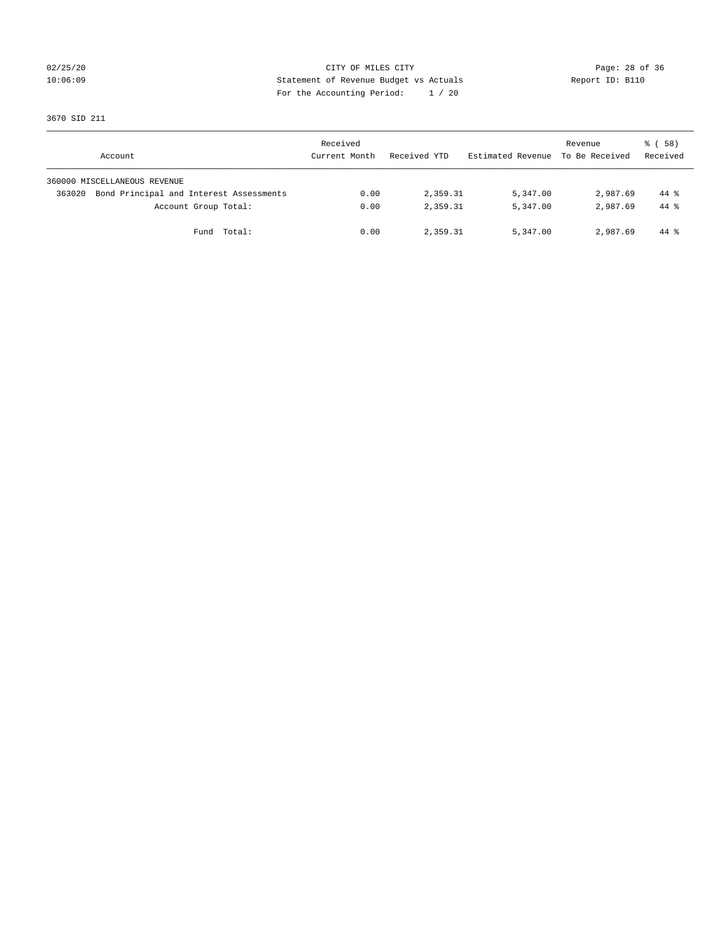## 02/25/20 Page: 28 of 36 CITY OF MILES CITY CONTROL PAGE: 28 of 36 10:06:09 Statement of Revenue Budget vs Actuals Report ID: B110 For the Accounting Period: 1 / 20

3670 SID 211

| Account                                           | Received<br>Current Month | Received YTD | Estimated Revenue | Revenue<br>To Be Received | 8 ( 58 )<br>Received |
|---------------------------------------------------|---------------------------|--------------|-------------------|---------------------------|----------------------|
| 360000 MISCELLANEOUS REVENUE                      |                           |              |                   |                           |                      |
| Bond Principal and Interest Assessments<br>363020 | 0.00                      | 2,359.31     | 5,347.00          | 2,987.69                  | 44 %                 |
| Account Group Total:                              | 0.00                      | 2,359.31     | 5,347.00          | 2,987.69                  | $44*$                |
| Total:<br>Fund                                    | 0.00                      | 2,359.31     | 5,347.00          | 2,987.69                  | 44 %                 |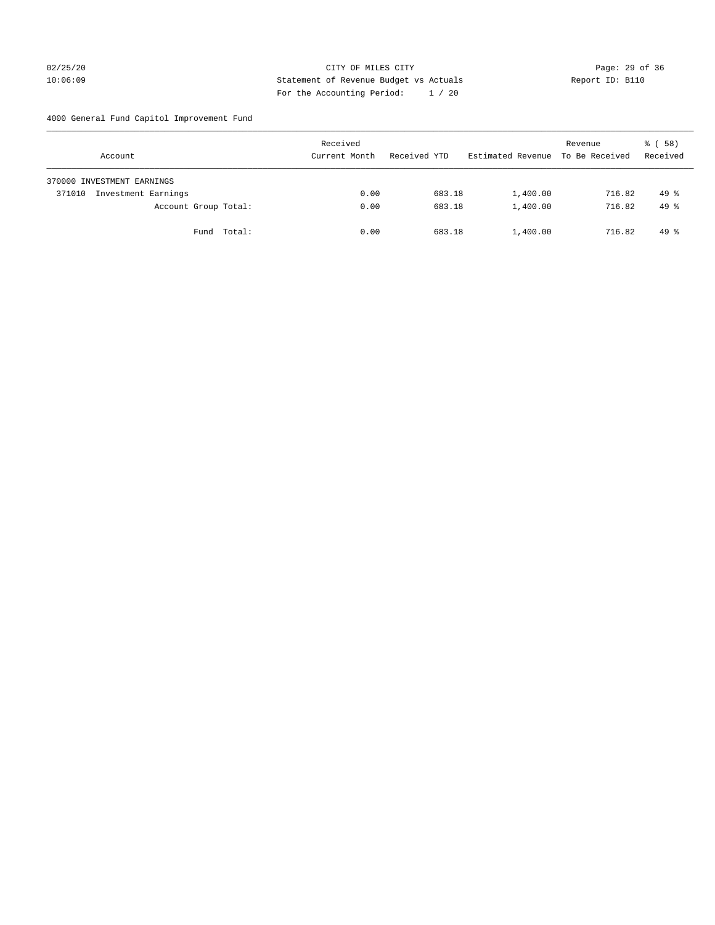## 02/25/20 Page: 29 of 36 CITY OF MILES CITY CONTROL PAGE: 29 of 36 10:06:09 Statement of Revenue Budget vs Actuals Report ID: B110 For the Accounting Period: 1 / 20

4000 General Fund Capitol Improvement Fund

| Account                       |             | Received<br>Current Month | Received YTD | Estimated Revenue | Revenue<br>To Be Received | 8 ( 58 )<br>Received |
|-------------------------------|-------------|---------------------------|--------------|-------------------|---------------------------|----------------------|
| 370000 INVESTMENT EARNINGS    |             |                           |              |                   |                           |                      |
| Investment Earnings<br>371010 |             | 0.00                      | 683.18       | 1,400.00          | 716.82                    | $49*$                |
| Account Group Total:          |             | 0.00                      | 683.18       | 1,400.00          | 716.82                    | $49*$                |
|                               | Fund Total: | 0.00                      | 683.18       | 1,400.00          | 716.82                    | $49*$                |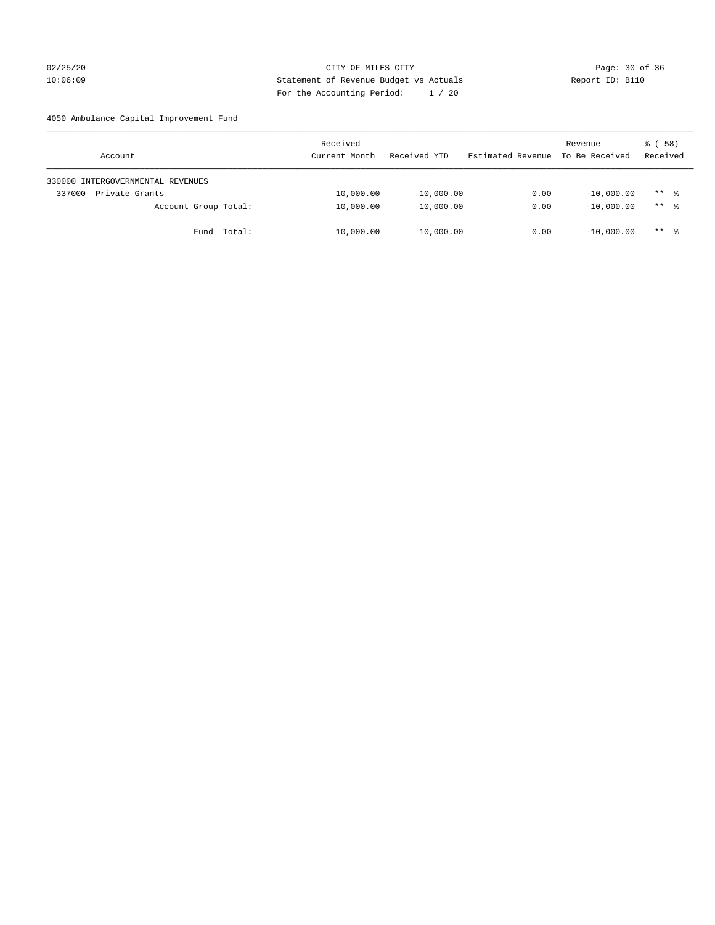## 02/25/20 Page: 30 of 36 CITY OF MILES CITY CONTROL PAGE: 30 of 36 10:06:09 Statement of Revenue Budget vs Actuals Report ID: B110 For the Accounting Period: 1 / 20

4050 Ambulance Capital Improvement Fund

| Account                           | Received<br>Current Month | Received YTD | Estimated Revenue | Revenue<br>To Be Received | 8 ( 58 )<br>Received |
|-----------------------------------|---------------------------|--------------|-------------------|---------------------------|----------------------|
| 330000 INTERGOVERNMENTAL REVENUES |                           |              |                   |                           |                      |
| 337000<br>Private Grants          | 10,000.00                 | 10,000.00    | 0.00              | $-10,000.00$              | $***$ %              |
| Account Group Total:              | 10,000.00                 | 10,000.00    | 0.00              | $-10,000.00$              | $***$ %              |
| Fund Total:                       | 10,000.00                 | 10,000.00    | 0.00              | $-10,000.00$              | ** *                 |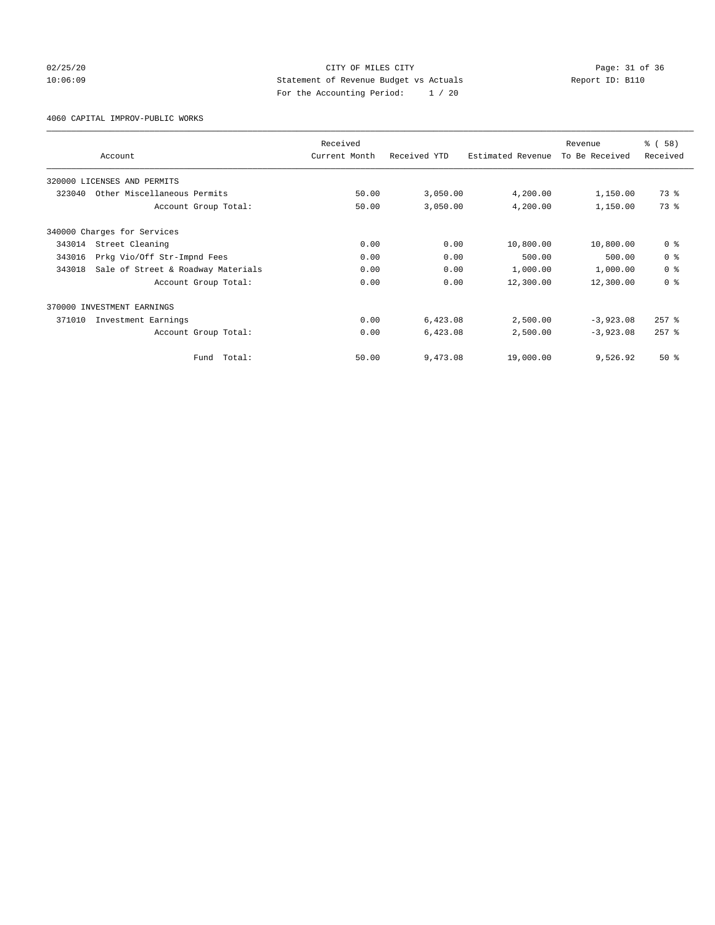## 02/25/20 Page: 31 of 36 CITY OF MILES CITY CHE PAGE 21 OF 36 10:06:09 Statement of Revenue Budget vs Actuals Report ID: B110 For the Accounting Period: 1 / 20

4060 CAPITAL IMPROV-PUBLIC WORKS

|        |                                    | Received      |              |                   | Revenue        | % (58)         |
|--------|------------------------------------|---------------|--------------|-------------------|----------------|----------------|
|        | Account                            | Current Month | Received YTD | Estimated Revenue | To Be Received | Received       |
|        | 320000 LICENSES AND PERMITS        |               |              |                   |                |                |
| 323040 | Other Miscellaneous Permits        | 50.00         | 3,050.00     | 4,200.00          | 1,150.00       | 73 %           |
|        | Account Group Total:               | 50.00         | 3,050.00     | 4,200.00          | 1,150.00       | 73.8           |
|        | 340000 Charges for Services        |               |              |                   |                |                |
| 343014 | Street Cleaning                    | 0.00          | 0.00         | 10,800.00         | 10,800.00      | 0 <sup>8</sup> |
| 343016 | Prkg Vio/Off Str-Impnd Fees        | 0.00          | 0.00         | 500.00            | 500.00         | 0 <sup>8</sup> |
| 343018 | Sale of Street & Roadway Materials | 0.00          | 0.00         | 1,000.00          | 1,000.00       | 0 <sup>8</sup> |
|        | Account Group Total:               | 0.00          | 0.00         | 12,300.00         | 12,300.00      | 0 <sup>8</sup> |
|        | 370000 INVESTMENT EARNINGS         |               |              |                   |                |                |
| 371010 | Investment Earnings                | 0.00          | 6,423.08     | 2,500.00          | $-3,923.08$    | $257$ $%$      |
|        | Account Group Total:               | 0.00          | 6,423.08     | 2,500.00          | $-3,923.08$    | $257$ $%$      |
|        | Total:<br>Fund                     | 50.00         | 9,473.08     | 19,000.00         | 9,526.92       | $50*$          |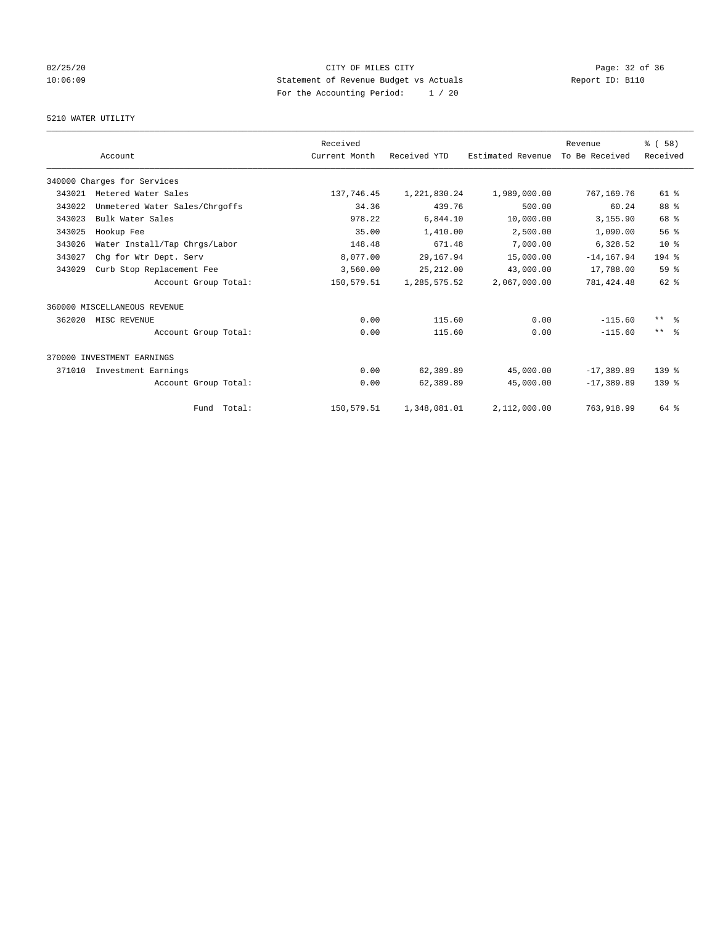## 02/25/20 Page: 32 of 36 CITY OF MILES CITY CHE CITY PAGE: 32 of 36 10:06:09 Statement of Revenue Budget vs Actuals Report ID: B110 For the Accounting Period: 1 / 20

## 5210 WATER UTILITY

|        |                                | Received      |              |                   | Revenue        | % (58)              |
|--------|--------------------------------|---------------|--------------|-------------------|----------------|---------------------|
|        | Account                        | Current Month | Received YTD | Estimated Revenue | To Be Received | Received            |
|        | 340000 Charges for Services    |               |              |                   |                |                     |
| 343021 | Metered Water Sales            | 137,746.45    | 1,221,830.24 | 1,989,000.00      | 767,169.76     | 61 %                |
| 343022 | Unmetered Water Sales/Chrgoffs | 34.36         | 439.76       | 500.00            | 60.24          | 88 %                |
| 343023 | Bulk Water Sales               | 978.22        | 6,844.10     | 10,000.00         | 3,155.90       | 68 %                |
| 343025 | Hookup Fee                     | 35.00         | 1,410.00     | 2,500.00          | 1,090.00       | 56%                 |
| 343026 | Water Install/Tap Chrgs/Labor  | 148.48        | 671.48       | 7,000.00          | 6,328.52       | 10 <sup>8</sup>     |
| 343027 | Chq for Wtr Dept. Serv         | 8,077.00      | 29,167.94    | 15,000.00         | $-14, 167.94$  | 194 %               |
| 343029 | Curb Stop Replacement Fee      | 3,560.00      | 25, 212.00   | 43,000.00         | 17,788.00      | 59%                 |
|        | Account Group Total:           | 150,579.51    | 1,285,575.52 | 2,067,000.00      | 781, 424.48    | $62$ $%$            |
|        | 360000 MISCELLANEOUS REVENUE   |               |              |                   |                |                     |
| 362020 | MISC REVENUE                   | 0.00          | 115.60       | 0.00              | $-115.60$      | $***$ $\frac{6}{5}$ |
|        | Account Group Total:           | 0.00          | 115.60       | 0.00              | $-115.60$      | $***$ $\approx$     |
|        | 370000 INVESTMENT EARNINGS     |               |              |                   |                |                     |
| 371010 | Investment Earnings            | 0.00          | 62,389.89    | 45,000.00         | $-17, 389.89$  | 139 %               |
|        | Account Group Total:           | 0.00          | 62,389.89    | 45,000.00         | $-17,389.89$   | 139 <sub>8</sub>    |
|        | Fund Total:                    | 150,579.51    | 1,348,081.01 | 2,112,000.00      | 763,918.99     | 64 %                |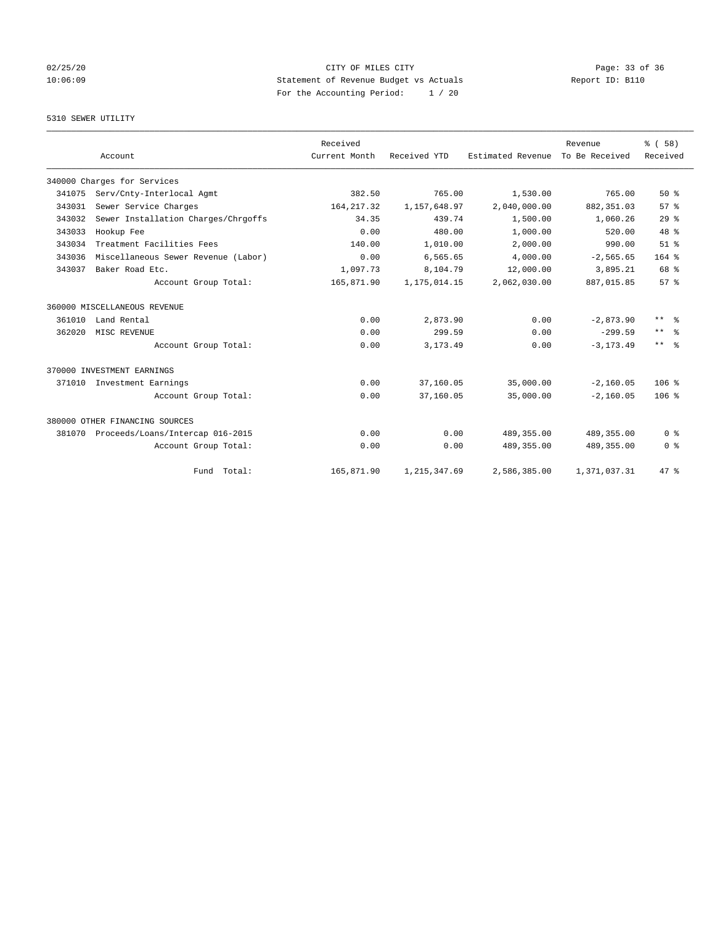## 02/25/20 Page: 33 of 36 CITY OF MILES CITY 10:06:09 Statement of Revenue Budget vs Actuals Report ID: B110 For the Accounting Period: 1 / 20

## 5310 SEWER UTILITY

|        | Account                             | Received<br>Current Month | Received YTD   | Estimated Revenue | Revenue<br>To Be Received | % (58)<br>Received     |
|--------|-------------------------------------|---------------------------|----------------|-------------------|---------------------------|------------------------|
|        |                                     |                           |                |                   |                           |                        |
|        | 340000 Charges for Services         |                           |                |                   |                           |                        |
| 341075 | Serv/Cnty-Interlocal Agmt           | 382.50                    | 765.00         | 1,530.00          | 765.00                    | $50*$                  |
| 343031 | Sewer Service Charges               | 164, 217.32               | 1, 157, 648.97 | 2,040,000.00      | 882, 351.03               | 57 <sup>8</sup>        |
| 343032 | Sewer Installation Charges/Chrgoffs | 34.35                     | 439.74         | 1,500.00          | 1,060.26                  | 29 <sup>8</sup>        |
| 343033 | Hookup Fee                          | 0.00                      | 480.00         | 1,000.00          | 520.00                    | 48 %                   |
| 343034 | Treatment Facilities Fees           | 140.00                    | 1,010.00       | 2,000.00          | 990.00                    | $51$ %                 |
| 343036 | Miscellaneous Sewer Revenue (Labor) | 0.00                      | 6,565.65       | 4,000.00          | $-2, 565.65$              | $164$ %                |
| 343037 | Baker Road Etc.                     | 1,097.73                  | 8,104.79       | 12,000.00         | 3,895.21                  | 68 %                   |
|        | Account Group Total:                | 165,871.90                | 1, 175, 014.15 | 2,062,030.00      | 887,015.85                | 57%                    |
|        | 360000 MISCELLANEOUS REVENUE        |                           |                |                   |                           |                        |
| 361010 | Land Rental                         | 0.00                      | 2,873.90       | 0.00              | $-2,873.90$               | $***$<br>ം             |
| 362020 | MISC REVENUE                        | 0.00                      | 299.59         | 0.00              | $-299.59$                 | $\star\star$<br>ം<br>ക |
|        | Account Group Total:                | 0.00                      | 3, 173.49      | 0.00              | $-3, 173.49$              | $***$ $%$              |
|        | 370000 INVESTMENT EARNINGS          |                           |                |                   |                           |                        |
|        | 371010 Investment Earnings          | 0.00                      | 37,160.05      | 35,000.00         | $-2,160.05$               | 106 <sup>8</sup>       |
|        | Account Group Total:                | 0.00                      | 37,160.05      | 35,000.00         | $-2,160.05$               | 106 <sup>8</sup>       |
|        | 380000 OTHER FINANCING SOURCES      |                           |                |                   |                           |                        |
| 381070 | Proceeds/Loans/Intercap 016-2015    | 0.00                      | 0.00           | 489, 355.00       | 489, 355.00               | 0 <sup>8</sup>         |
|        | Account Group Total:                | 0.00                      | 0.00           | 489,355.00        | 489,355.00                | 0 <sup>8</sup>         |
|        | Fund Total:                         | 165,871.90                | 1, 215, 347.69 | 2,586,385.00      | 1,371,037.31              | 47.8                   |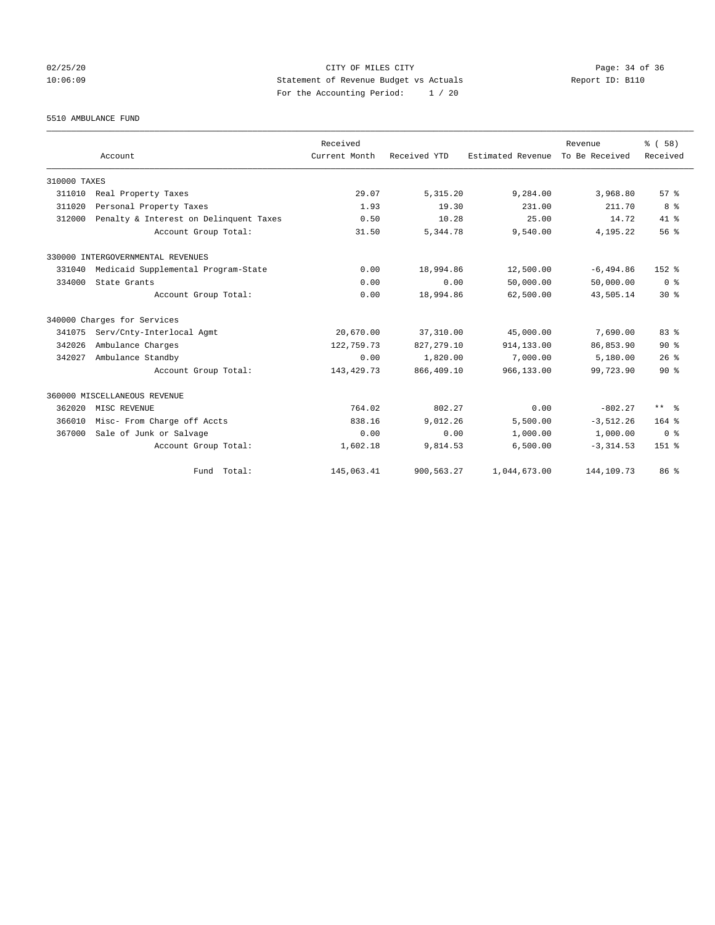02/25/20 Page: 34 of 36 CITY OF MILES CITY CHE CITY PAGE: 34 of 36 10:06:09 Statement of Revenue Budget vs Actuals Report ID: B110 For the Accounting Period: 1 / 20

5510 AMBULANCE FUND

|              |                                        | Received      |              |                   | Revenue        | % (58)          |
|--------------|----------------------------------------|---------------|--------------|-------------------|----------------|-----------------|
|              | Account                                | Current Month | Received YTD | Estimated Revenue | To Be Received | Received        |
| 310000 TAXES |                                        |               |              |                   |                |                 |
| 311010       | Real Property Taxes                    | 29.07         | 5, 315.20    | 9,284.00          | 3,968.80       | 57%             |
| 311020       | Personal Property Taxes                | 1.93          | 19.30        | 231.00            | 211.70         | 8 %             |
| 312000       | Penalty & Interest on Delinquent Taxes | 0.50          | 10.28        | 25.00             | 14.72          | $41*$           |
|              | Account Group Total:                   | 31.50         | 5,344.78     | 9,540.00          | 4,195.22       | 56%             |
|              | 330000 INTERGOVERNMENTAL REVENUES      |               |              |                   |                |                 |
| 331040       | Medicaid Supplemental Program-State    | 0.00          | 18,994.86    | 12,500.00         | $-6, 494.86$   | $152*$          |
| 334000       | State Grants                           | 0.00          | 0.00         | 50,000.00         | 50,000.00      | 0 <sup>8</sup>  |
|              | Account Group Total:                   | 0.00          | 18,994.86    | 62,500.00         | 43,505.14      | $30*$           |
|              | 340000 Charges for Services            |               |              |                   |                |                 |
| 341075       | Serv/Cnty-Interlocal Agmt              | 20,670.00     | 37,310.00    | 45,000.00         | 7,690.00       | 83 <sup>8</sup> |
| 342026       | Ambulance Charges                      | 122,759.73    | 827, 279.10  | 914, 133, 00      | 86,853.90      | $90*$           |
| 342027       | Ambulance Standby                      | 0.00          | 1,820.00     | 7,000.00          | 5,180.00       | 26%             |
|              | Account Group Total:                   | 143, 429. 73  | 866, 409.10  | 966,133.00        | 99,723.90      | $90*$           |
|              | 360000 MISCELLANEOUS REVENUE           |               |              |                   |                |                 |
| 362020       | MISC REVENUE                           | 764.02        | 802.27       | 0.00              | $-802.27$      | ** %            |
| 366010       | Misc- From Charge off Accts            | 838.16        | 9,012.26     | 5,500.00          | $-3,512.26$    | $164$ %         |
| 367000       | Sale of Junk or Salvage                | 0.00          | 0.00         | 1,000.00          | 1,000.00       | 0 <sup>8</sup>  |
|              | Account Group Total:                   | 1,602.18      | 9,814.53     | 6,500.00          | $-3, 314.53$   | 151 %           |
|              | Fund Total:                            | 145,063.41    | 900, 563.27  | 1,044,673.00      | 144, 109. 73   | 86 %            |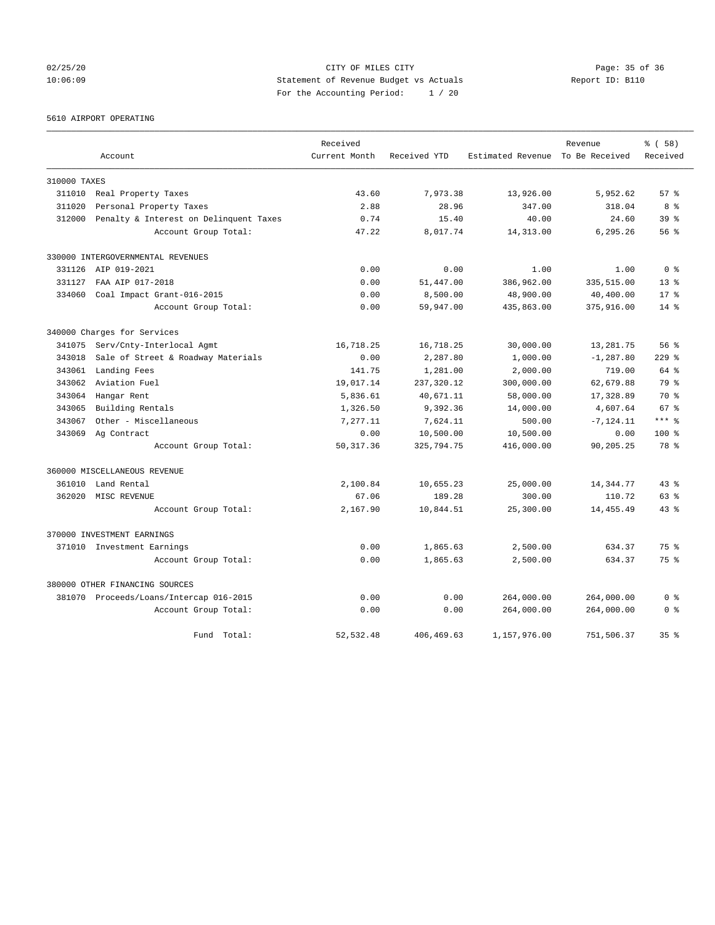02/25/20 Page: 35 of 36 CITY OF MILES CITY CONTROL PAGE: 35 of 36 10:06:09 Statement of Revenue Budget vs Actuals Report ID: B110 For the Accounting Period: 1 / 20

5610 AIRPORT OPERATING

|              |                                         | Received      |              |                                  | Revenue      | % (58)          |
|--------------|-----------------------------------------|---------------|--------------|----------------------------------|--------------|-----------------|
|              | Account                                 | Current Month | Received YTD | Estimated Revenue To Be Received |              | Received        |
| 310000 TAXES |                                         |               |              |                                  |              |                 |
| 311010       | Real Property Taxes                     | 43.60         | 7,973.38     | 13,926.00                        | 5,952.62     | 57%             |
| 311020       | Personal Property Taxes                 | 2.88          | 28.96        | 347.00                           | 318.04       | 8 %             |
| 312000       | Penalty & Interest on Delinquent Taxes  | 0.74          | 15.40        | 40.00                            | 24.60        | 39 <sup>8</sup> |
|              | Account Group Total:                    | 47.22         | 8,017.74     | 14,313.00                        | 6,295.26     | $56$ $%$        |
|              | 330000 INTERGOVERNMENTAL REVENUES       |               |              |                                  |              |                 |
|              | 331126 AIP 019-2021                     | 0.00          | 0.00         | 1.00                             | 1.00         | 0 <sup>8</sup>  |
| 331127       | FAA AIP 017-2018                        | 0.00          | 51,447.00    | 386,962.00                       | 335,515.00   | $13*$           |
| 334060       | Coal Impact Grant-016-2015              | 0.00          | 8,500.00     | 48,900.00                        | 40,400.00    | $17*$           |
|              | Account Group Total:                    | 0.00          | 59,947.00    | 435,863.00                       | 375,916.00   | $14*$           |
|              | 340000 Charges for Services             |               |              |                                  |              |                 |
| 341075       | Serv/Cnty-Interlocal Agmt               | 16,718.25     | 16,718.25    | 30,000.00                        | 13,281.75    | 56%             |
| 343018       | Sale of Street & Roadway Materials      | 0.00          | 2,287.80     | 1,000.00                         | $-1, 287.80$ | $229$ $%$       |
| 343061       | Landing Fees                            | 141.75        | 1,281.00     | 2,000.00                         | 719.00       | 64 %            |
| 343062       | Aviation Fuel                           | 19,017.14     | 237,320.12   | 300,000.00                       | 62,679.88    | 79 %            |
| 343064       | Hangar Rent                             | 5,836.61      | 40,671.11    | 58,000.00                        | 17,328.89    | 70 %            |
| 343065       | Building Rentals                        | 1,326.50      | 9,392.36     | 14,000.00                        | 4,607.64     | 67 <sup>8</sup> |
| 343067       | Other - Miscellaneous                   | 7,277.11      | 7,624.11     | 500.00                           | $-7, 124.11$ | $***$ $-$       |
|              | 343069 Ag Contract                      | 0.00          | 10,500.00    | 10,500.00                        | 0.00         | 100%            |
|              | Account Group Total:                    | 50, 317.36    | 325,794.75   | 416,000.00                       | 90,205.25    | 78 %            |
|              | 360000 MISCELLANEOUS REVENUE            |               |              |                                  |              |                 |
| 361010       | Land Rental                             | 2,100.84      | 10,655.23    | 25,000.00                        | 14,344.77    | $43*$           |
| 362020       | MISC REVENUE                            | 67.06         | 189.28       | 300.00                           | 110.72       | 63 %            |
|              | Account Group Total:                    | 2,167.90      | 10,844.51    | 25,300.00                        | 14, 455.49   | $43$ %          |
|              | 370000 INVESTMENT EARNINGS              |               |              |                                  |              |                 |
|              | 371010 Investment Earnings              | 0.00          | 1,865.63     | 2,500.00                         | 634.37       | 75 %            |
|              | Account Group Total:                    | 0.00          | 1,865.63     | 2,500.00                         | 634.37       | 75%             |
|              | 380000 OTHER FINANCING SOURCES          |               |              |                                  |              |                 |
|              | 381070 Proceeds/Loans/Intercap 016-2015 | 0.00          | 0.00         | 264,000.00                       | 264,000.00   | 0 <sup>8</sup>  |
|              | Account Group Total:                    | 0.00          | 0.00         | 264,000.00                       | 264,000.00   | 0 <sup>8</sup>  |
|              | Fund<br>Total:                          | 52, 532.48    | 406, 469.63  | 1,157,976.00                     | 751,506.37   | 35 <sup>8</sup> |